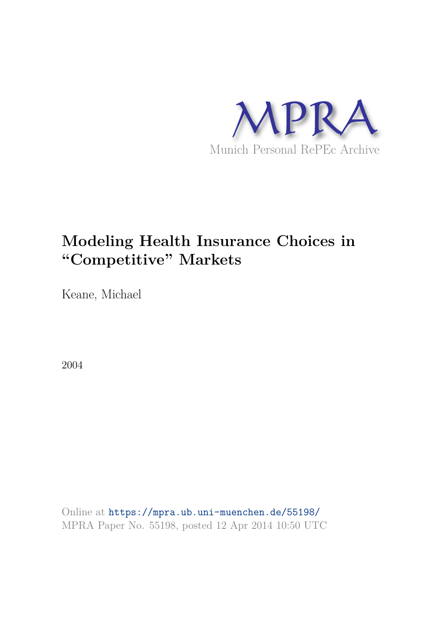

# **Modeling Health Insurance Choices in "Competitive" Markets**

Keane, Michael

2004

Online at https://mpra.ub.uni-muenchen.de/55198/ MPRA Paper No. 55198, posted 12 Apr 2014 10:50 UTC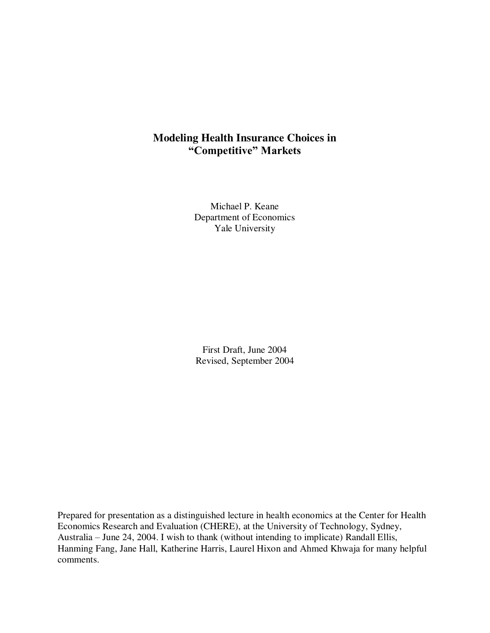## **Modeling Health Insurance Choices in "Competitive" Markets**

Michael P. Keane Department of Economics Yale University

First Draft, June 2004 Revised, September 2004

Prepared for presentation as a distinguished lecture in health economics at the Center for Health Economics Research and Evaluation (CHERE), at the University of Technology, Sydney, Australia – June 24, 2004. I wish to thank (without intending to implicate) Randall Ellis, Hanming Fang, Jane Hall, Katherine Harris, Laurel Hixon and Ahmed Khwaja for many helpful comments.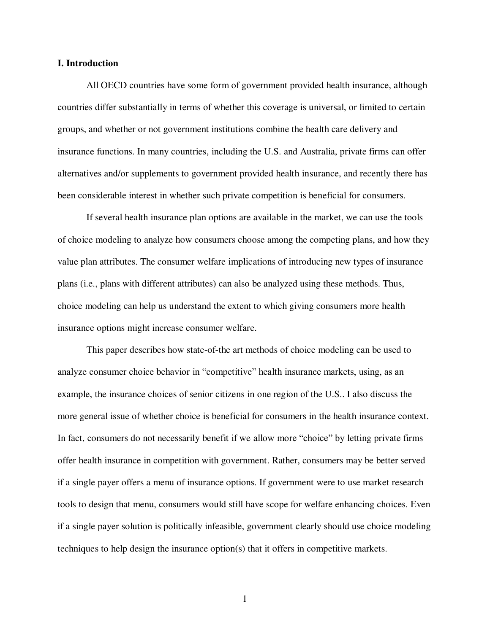#### **I. Introduction**

All OECD countries have some form of government provided health insurance, although countries differ substantially in terms of whether this coverage is universal, or limited to certain groups, and whether or not government institutions combine the health care delivery and insurance functions. In many countries, including the U.S. and Australia, private firms can offer alternatives and/or supplements to government provided health insurance, and recently there has been considerable interest in whether such private competition is beneficial for consumers.

If several health insurance plan options are available in the market, we can use the tools of choice modeling to analyze how consumers choose among the competing plans, and how they value plan attributes. The consumer welfare implications of introducing new types of insurance plans (i.e., plans with different attributes) can also be analyzed using these methods. Thus, choice modeling can help us understand the extent to which giving consumers more health insurance options might increase consumer welfare.

This paper describes how state-of-the art methods of choice modeling can be used to analyze consumer choice behavior in "competitive" health insurance markets, using, as an example, the insurance choices of senior citizens in one region of the U.S.. I also discuss the more general issue of whether choice is beneficial for consumers in the health insurance context. In fact, consumers do not necessarily benefit if we allow more "choice" by letting private firms offer health insurance in competition with government. Rather, consumers may be better served if a single payer offers a menu of insurance options. If government were to use market research tools to design that menu, consumers would still have scope for welfare enhancing choices. Even if a single payer solution is politically infeasible, government clearly should use choice modeling techniques to help design the insurance option(s) that it offers in competitive markets.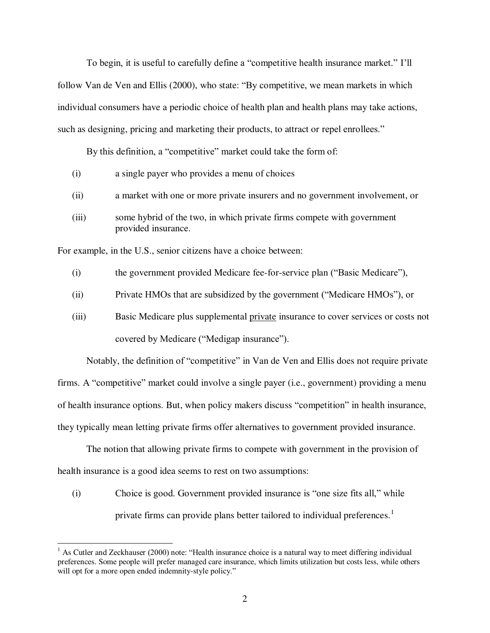To begin, it is useful to carefully define a "competitive health insurance market." I'll follow Van de Ven and Ellis (2000), who state: "By competitive, we mean markets in which individual consumers have a periodic choice of health plan and health plans may take actions, such as designing, pricing and marketing their products, to attract or repel enrollees."

By this definition, a "competitive" market could take the form of:

- (i) a single payer who provides a menu of choices
- (ii) a market with one or more private insurers and no government involvement, or
- (iii) some hybrid of the two, in which private firms compete with government provided insurance.

For example, in the U.S., senior citizens have a choice between:

- (i) the government provided Medicare fee-for-service plan ("Basic Medicare"),
- (ii) Private HMOs that are subsidized by the government ("Medicare HMOs"), or
- (iii) Basic Medicare plus supplemental private insurance to cover services or costs not covered by Medicare ("Medigap insurance").

Notably, the definition of "competitive" in Van de Ven and Ellis does not require private

firms. A "competitive" market could involve a single payer (i.e., government) providing a menu of health insurance options. But, when policy makers discuss "competition" in health insurance, they typically mean letting private firms offer alternatives to government provided insurance.

 The notion that allowing private firms to compete with government in the provision of health insurance is a good idea seems to rest on two assumptions:

(i) Choice is good. Government provided insurance is "one size fits all," while private firms can provide plans better tailored to individual preferences.<sup>1</sup>

<sup>&</sup>lt;sup>1</sup> As Cutler and Zeckhauser (2000) note: "Health insurance choice is a natural way to meet differing individual preferences. Some people will prefer managed care insurance, which limits utilization but costs less, while others will opt for a more open ended indemnity-style policy."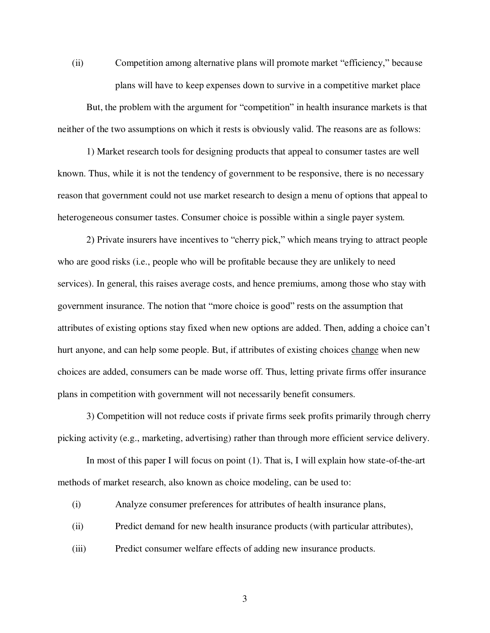(ii) Competition among alternative plans will promote market "efficiency," because plans will have to keep expenses down to survive in a competitive market place

 But, the problem with the argument for "competition" in health insurance markets is that neither of the two assumptions on which it rests is obviously valid. The reasons are as follows:

1) Market research tools for designing products that appeal to consumer tastes are well known. Thus, while it is not the tendency of government to be responsive, there is no necessary reason that government could not use market research to design a menu of options that appeal to heterogeneous consumer tastes. Consumer choice is possible within a single payer system.

2) Private insurers have incentives to "cherry pick," which means trying to attract people who are good risks (i.e., people who will be profitable because they are unlikely to need services). In general, this raises average costs, and hence premiums, among those who stay with government insurance. The notion that "more choice is good" rests on the assumption that attributes of existing options stay fixed when new options are added. Then, adding a choice can't hurt anyone, and can help some people. But, if attributes of existing choices change when new choices are added, consumers can be made worse off. Thus, letting private firms offer insurance plans in competition with government will not necessarily benefit consumers.

3) Competition will not reduce costs if private firms seek profits primarily through cherry picking activity (e.g., marketing, advertising) rather than through more efficient service delivery.

In most of this paper I will focus on point (1). That is, I will explain how state-of-the-art methods of market research, also known as choice modeling, can be used to:

- (i) Analyze consumer preferences for attributes of health insurance plans,
- (ii) Predict demand for new health insurance products (with particular attributes),
- (iii) Predict consumer welfare effects of adding new insurance products.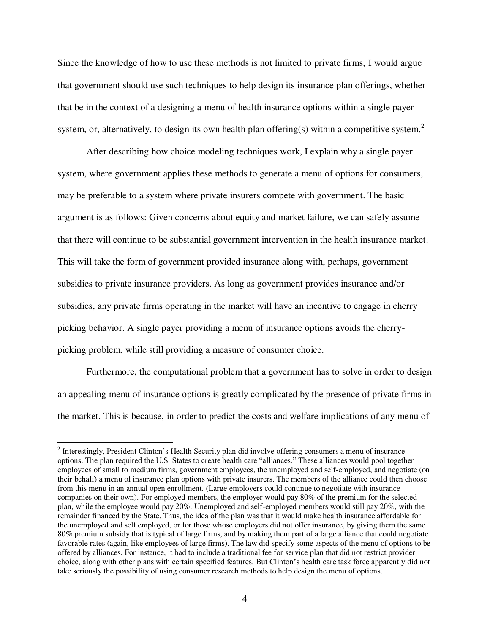Since the knowledge of how to use these methods is not limited to private firms, I would argue that government should use such techniques to help design its insurance plan offerings, whether that be in the context of a designing a menu of health insurance options within a single payer system, or, alternatively, to design its own health plan offering(s) within a competitive system.<sup>2</sup>

After describing how choice modeling techniques work, I explain why a single payer system, where government applies these methods to generate a menu of options for consumers, may be preferable to a system where private insurers compete with government. The basic argument is as follows: Given concerns about equity and market failure, we can safely assume that there will continue to be substantial government intervention in the health insurance market. This will take the form of government provided insurance along with, perhaps, government subsidies to private insurance providers. As long as government provides insurance and/or subsidies, any private firms operating in the market will have an incentive to engage in cherry picking behavior. A single payer providing a menu of insurance options avoids the cherrypicking problem, while still providing a measure of consumer choice.

Furthermore, the computational problem that a government has to solve in order to design an appealing menu of insurance options is greatly complicated by the presence of private firms in the market. This is because, in order to predict the costs and welfare implications of any menu of

<sup>&</sup>lt;sup>2</sup> Interestingly, President Clinton's Health Security plan did involve offering consumers a menu of insurance options. The plan required the U.S. States to create health care "alliances." These alliances would pool together employees of small to medium firms, government employees, the unemployed and self-employed, and negotiate (on their behalf) a menu of insurance plan options with private insurers. The members of the alliance could then choose from this menu in an annual open enrollment. (Large employers could continue to negotiate with insurance companies on their own). For employed members, the employer would pay 80% of the premium for the selected plan, while the employee would pay 20%. Unemployed and self-employed members would still pay 20%, with the remainder financed by the State. Thus, the idea of the plan was that it would make health insurance affordable for the unemployed and self employed, or for those whose employers did not offer insurance, by giving them the same 80% premium subsidy that is typical of large firms, and by making them part of a large alliance that could negotiate favorable rates (again, like employees of large firms). The law did specify some aspects of the menu of options to be offered by alliances. For instance, it had to include a traditional fee for service plan that did not restrict provider choice, along with other plans with certain specified features. But Clinton's health care task force apparently did not take seriously the possibility of using consumer research methods to help design the menu of options.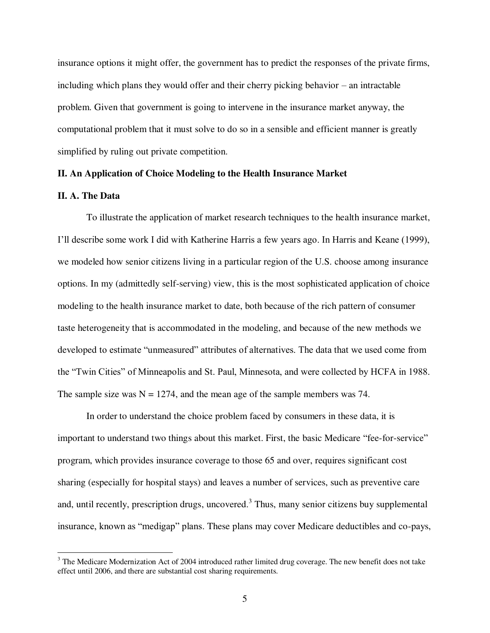insurance options it might offer, the government has to predict the responses of the private firms, including which plans they would offer and their cherry picking behavior – an intractable problem. Given that government is going to intervene in the insurance market anyway, the computational problem that it must solve to do so in a sensible and efficient manner is greatly simplified by ruling out private competition.

#### **II. An Application of Choice Modeling to the Health Insurance Market**

#### **II. A. The Data**

To illustrate the application of market research techniques to the health insurance market, I'll describe some work I did with Katherine Harris a few years ago. In Harris and Keane (1999), we modeled how senior citizens living in a particular region of the U.S. choose among insurance options. In my (admittedly self-serving) view, this is the most sophisticated application of choice modeling to the health insurance market to date, both because of the rich pattern of consumer taste heterogeneity that is accommodated in the modeling, and because of the new methods we developed to estimate "unmeasured" attributes of alternatives. The data that we used come from the "Twin Cities" of Minneapolis and St. Paul, Minnesota, and were collected by HCFA in 1988. The sample size was  $N = 1274$ , and the mean age of the sample members was 74.

In order to understand the choice problem faced by consumers in these data, it is important to understand two things about this market. First, the basic Medicare "fee-for-service" program, which provides insurance coverage to those 65 and over, requires significant cost sharing (especially for hospital stays) and leaves a number of services, such as preventive care and, until recently, prescription drugs, uncovered.<sup>3</sup> Thus, many senior citizens buy supplemental insurance, known as "medigap" plans. These plans may cover Medicare deductibles and co-pays,

<sup>&</sup>lt;sup>3</sup> The Medicare Modernization Act of 2004 introduced rather limited drug coverage. The new benefit does not take effect until 2006, and there are substantial cost sharing requirements.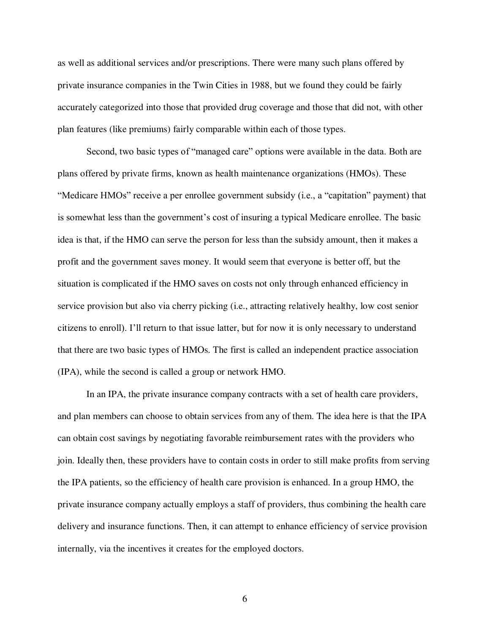as well as additional services and/or prescriptions. There were many such plans offered by private insurance companies in the Twin Cities in 1988, but we found they could be fairly accurately categorized into those that provided drug coverage and those that did not, with other plan features (like premiums) fairly comparable within each of those types.

Second, two basic types of "managed care" options were available in the data. Both are plans offered by private firms, known as health maintenance organizations (HMOs). These "Medicare HMOs" receive a per enrollee government subsidy (i.e., a "capitation" payment) that is somewhat less than the government's cost of insuring a typical Medicare enrollee. The basic idea is that, if the HMO can serve the person for less than the subsidy amount, then it makes a profit and the government saves money. It would seem that everyone is better off, but the situation is complicated if the HMO saves on costs not only through enhanced efficiency in service provision but also via cherry picking (i.e., attracting relatively healthy, low cost senior citizens to enroll). I'll return to that issue latter, but for now it is only necessary to understand that there are two basic types of HMOs. The first is called an independent practice association (IPA), while the second is called a group or network HMO.

In an IPA, the private insurance company contracts with a set of health care providers, and plan members can choose to obtain services from any of them. The idea here is that the IPA can obtain cost savings by negotiating favorable reimbursement rates with the providers who join. Ideally then, these providers have to contain costs in order to still make profits from serving the IPA patients, so the efficiency of health care provision is enhanced. In a group HMO, the private insurance company actually employs a staff of providers, thus combining the health care delivery and insurance functions. Then, it can attempt to enhance efficiency of service provision internally, via the incentives it creates for the employed doctors.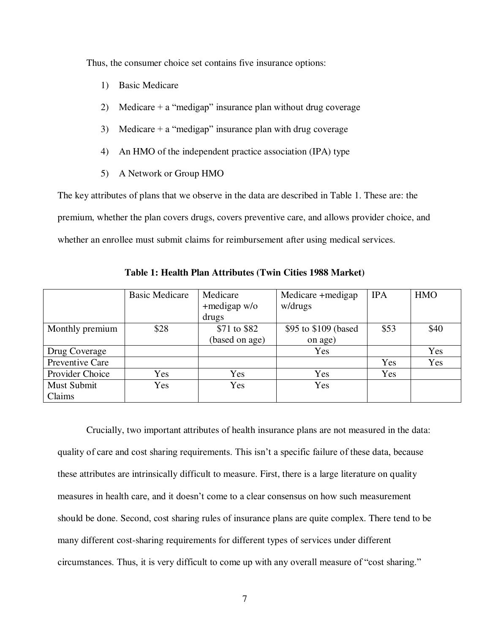Thus, the consumer choice set contains five insurance options:

- 1) Basic Medicare
- 2) Medicare + a "medigap" insurance plan without drug coverage
- 3) Medicare + a "medigap" insurance plan with drug coverage
- 4) An HMO of the independent practice association (IPA) type
- 5) A Network or Group HMO

The key attributes of plans that we observe in the data are described in Table 1. These are: the premium, whether the plan covers drugs, covers preventive care, and allows provider choice, and whether an enrollee must submit claims for reimbursement after using medical services.

|                 | <b>Basic Medicare</b> | Medicare       | Medicare + medigap    | <b>IPA</b> | <b>HMO</b> |
|-----------------|-----------------------|----------------|-----------------------|------------|------------|
|                 |                       | +medigap w/o   | w/drugs               |            |            |
|                 |                       | drugs          |                       |            |            |
| Monthly premium | \$28                  | \$71 to \$82   | \$95 to \$109 (based) | \$53       | \$40       |
|                 |                       | (based on age) | on age)               |            |            |
| Drug Coverage   |                       |                | Yes                   |            | Yes        |
| Preventive Care |                       |                |                       | Yes        | Yes        |
| Provider Choice | Yes                   | Yes            | Yes                   | Yes        |            |
| Must Submit     | Yes                   | Yes            | Yes                   |            |            |
| Claims          |                       |                |                       |            |            |

**Table 1: Health Plan Attributes (Twin Cities 1988 Market)** 

Crucially, two important attributes of health insurance plans are not measured in the data: quality of care and cost sharing requirements. This isn't a specific failure of these data, because these attributes are intrinsically difficult to measure. First, there is a large literature on quality measures in health care, and it doesn't come to a clear consensus on how such measurement should be done. Second, cost sharing rules of insurance plans are quite complex. There tend to be many different cost-sharing requirements for different types of services under different circumstances. Thus, it is very difficult to come up with any overall measure of "cost sharing."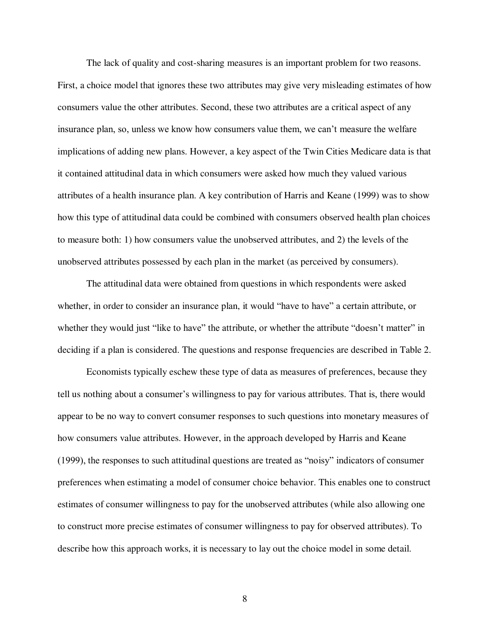The lack of quality and cost-sharing measures is an important problem for two reasons. First, a choice model that ignores these two attributes may give very misleading estimates of how consumers value the other attributes. Second, these two attributes are a critical aspect of any insurance plan, so, unless we know how consumers value them, we can't measure the welfare implications of adding new plans. However, a key aspect of the Twin Cities Medicare data is that it contained attitudinal data in which consumers were asked how much they valued various attributes of a health insurance plan. A key contribution of Harris and Keane (1999) was to show how this type of attitudinal data could be combined with consumers observed health plan choices to measure both: 1) how consumers value the unobserved attributes, and 2) the levels of the unobserved attributes possessed by each plan in the market (as perceived by consumers).

The attitudinal data were obtained from questions in which respondents were asked whether, in order to consider an insurance plan, it would "have to have" a certain attribute, or whether they would just "like to have" the attribute, or whether the attribute "doesn't matter" in deciding if a plan is considered. The questions and response frequencies are described in Table 2.

Economists typically eschew these type of data as measures of preferences, because they tell us nothing about a consumer's willingness to pay for various attributes. That is, there would appear to be no way to convert consumer responses to such questions into monetary measures of how consumers value attributes. However, in the approach developed by Harris and Keane (1999), the responses to such attitudinal questions are treated as "noisy" indicators of consumer preferences when estimating a model of consumer choice behavior. This enables one to construct estimates of consumer willingness to pay for the unobserved attributes (while also allowing one to construct more precise estimates of consumer willingness to pay for observed attributes). To describe how this approach works, it is necessary to lay out the choice model in some detail.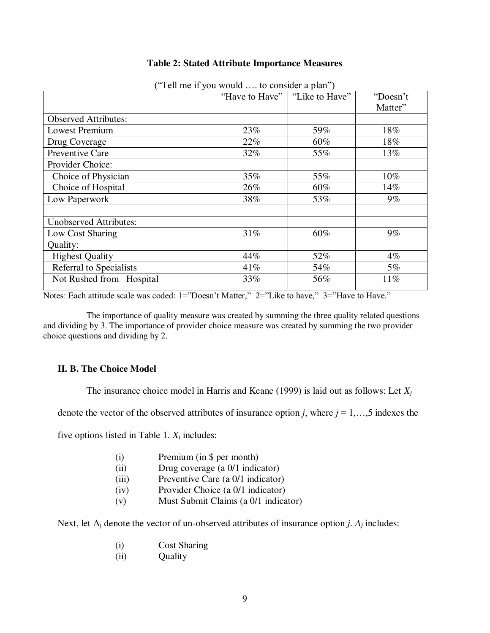|                               | $1 \text{ cm}$ and $\text{m}$ you would $\ldots$ to consider a plan $\eta$ |     |                     |
|-------------------------------|----------------------------------------------------------------------------|-----|---------------------|
|                               | "Have to Have"   "Like to Have"                                            |     | "Doesn't<br>Matter" |
| <b>Observed Attributes:</b>   |                                                                            |     |                     |
| <b>Lowest Premium</b>         | 23%                                                                        | 59% | 18%                 |
| Drug Coverage                 | 22%                                                                        | 60% | 18%                 |
| Preventive Care               | 32%                                                                        | 55% | 13%                 |
| Provider Choice:              |                                                                            |     |                     |
| Choice of Physician           | 35%                                                                        | 55% | $10\%$              |
| Choice of Hospital            | 26%                                                                        | 60% | 14%                 |
| Low Paperwork                 | 38%                                                                        | 53% | $9\%$               |
|                               |                                                                            |     |                     |
| <b>Unobserved Attributes:</b> |                                                                            |     |                     |
| Low Cost Sharing              | 31%                                                                        | 60% | $9\%$               |
| Quality:                      |                                                                            |     |                     |
| <b>Highest Quality</b>        | 44%                                                                        | 52% | $4\%$               |
| Referral to Specialists       | 41\%                                                                       | 54% | $5\%$               |
| Not Rushed from Hospital      | 33%                                                                        | 56% | 11%                 |
|                               |                                                                            |     |                     |

#### **Table 2: Stated Attribute Importance Measures**

 $("Tell me if you would to consider a plan")$ 

Notes: Each attitude scale was coded: 1="Doesn't Matter," 2="Like to have," 3="Have to Have."

The importance of quality measure was created by summing the three quality related questions and dividing by 3. The importance of provider choice measure was created by summing the two provider choice questions and dividing by 2.

### **II. B. The Choice Model**

The insurance choice model in Harris and Keane (1999) is laid out as follows: Let *X<sup>j</sup>*

denote the vector of the observed attributes of insurance option *j*, where  $j = 1, \ldots, 5$  indexes the

five options listed in Table 1.  $X_i$  includes:

| (i) | Premium (in \$ per month) |
|-----|---------------------------|
|-----|---------------------------|

- (ii) Drug coverage (a 0/1 indicator)
- (iii) Preventive Care (a 0/1 indicator)
- (iv) Provider Choice (a 0/1 indicator)
- (v) Must Submit Claims (a 0/1 indicator)

Next, let  $A_i$  denote the vector of un-observed attributes of insurance option *j*.  $A_i$  includes:

- (i) Cost Sharing
- (ii) Quality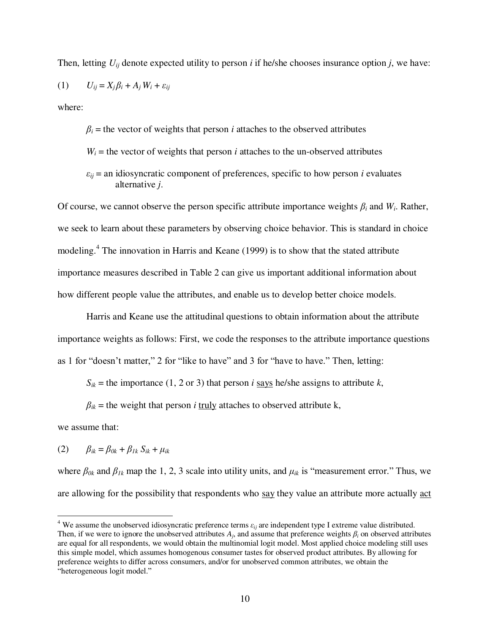Then, letting  $U_{ii}$  denote expected utility to person *i* if he/she chooses insurance option *j*, we have:

$$
(1) \qquad U_{ij} = X_j \beta_i + A_j W_i + \varepsilon_{ij}
$$

where:

- $β<sub>i</sub>$  = the vector of weights that person *i* attaches to the observed attributes
- $W_i$  = the vector of weights that person *i* attaches to the un-observed attributes
- $\varepsilon_{ij}$  = an idiosyncratic component of preferences, specific to how person *i* evaluates alternative *j*.

Of course, we cannot observe the person specific attribute importance weights  $\beta_i$  and  $W_i$ . Rather, we seek to learn about these parameters by observing choice behavior. This is standard in choice modeling.<sup>4</sup> The innovation in Harris and Keane (1999) is to show that the stated attribute importance measures described in Table 2 can give us important additional information about how different people value the attributes, and enable us to develop better choice models.

Harris and Keane use the attitudinal questions to obtain information about the attribute importance weights as follows: First, we code the responses to the attribute importance questions as 1 for "doesn't matter," 2 for "like to have" and 3 for "have to have." Then, letting:

 $S_{ik}$  = the importance (1, 2 or 3) that person *i* says he/she assigns to attribute *k*,

 $\beta_{ik}$  = the weight that person *i* truly attaches to observed attribute k,

we assume that:

(2) *βik* = *β0k* + *β1k Sik* + *μik*

where  $\beta_{0k}$  and  $\beta_{1k}$  map the 1, 2, 3 scale into utility units, and  $\mu_{ik}$  is "measurement error." Thus, we are allowing for the possibility that respondents who say they value an attribute more actually act

 4 We assume the unobserved idiosyncratic preference terms *εij* are independent type I extreme value distributed. Then, if we were to ignore the unobserved attributes  $A_j$ , and assume that preference weights  $\beta_i$  on observed attributes are equal for all respondents, we would obtain the multinomial logit model. Most applied choice modeling still uses this simple model, which assumes homogenous consumer tastes for observed product attributes. By allowing for preference weights to differ across consumers, and/or for unobserved common attributes, we obtain the "heterogeneous logit model."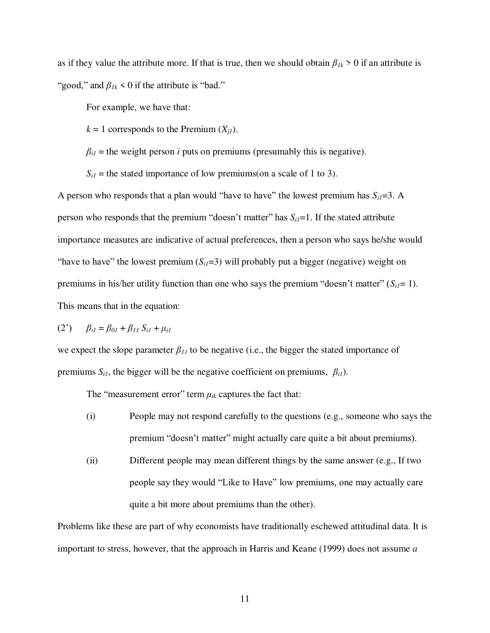as if they value the attribute more. If that is true, then we should obtain  $\beta_{1k} > 0$  if an attribute is "good," and  $\beta_{1k}$  < 0 if the attribute is "bad."

For example, we have that:

 $k = 1$  corresponds to the Premium  $(X_{il})$ .

 $\beta_{i1}$  = the weight person *i* puts on premiums (presumably this is negative).

 $S_{i1}$  = the stated importance of low premiums(on a scale of 1 to 3).

A person who responds that a plan would "have to have" the lowest premium has  $S_{i1}=3$ . A person who responds that the premium "doesn't matter" has  $S_{i1}=1$ . If the stated attribute importance measures are indicative of actual preferences, then a person who says he/she would "have to have" the lowest premium  $(S_i = 3)$  will probably put a bigger (negative) weight on premiums in his/her utility function than one who says the premium "doesn't matter"  $(S_i = 1)$ . This means that in the equation:

(2') 
$$
\beta_{i1} = \beta_{01} + \beta_{11} S_{i1} + \mu_{i1}
$$

we expect the slope parameter  $\beta_{11}$  to be negative (i.e., the bigger the stated importance of premiums  $S_{iI}$ , the bigger will be the negative coefficient on premiums,  $\beta_{iI}$ ).

The "measurement error" term  $\mu_{ik}$  captures the fact that:

- (i) People may not respond carefully to the questions (e.g., someone who says the premium "doesn't matter" might actually care quite a bit about premiums).
- (ii) Different people may mean different things by the same answer (e.g., If two people say they would "Like to Have" low premiums, one may actually care quite a bit more about premiums than the other).

Problems like these are part of why economists have traditionally eschewed attitudinal data. It is important to stress, however, that the approach in Harris and Keane (1999) does not assume *a*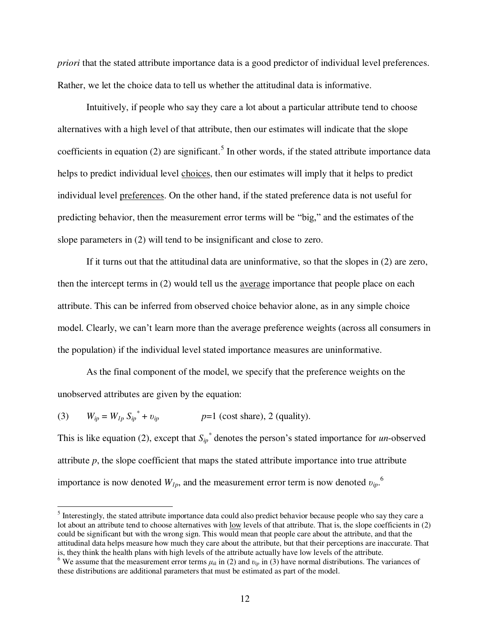*priori* that the stated attribute importance data is a good predictor of individual level preferences. Rather, we let the choice data to tell us whether the attitudinal data is informative.

Intuitively, if people who say they care a lot about a particular attribute tend to choose alternatives with a high level of that attribute, then our estimates will indicate that the slope coefficients in equation  $(2)$  are significant.<sup>5</sup> In other words, if the stated attribute importance data helps to predict individual level choices, then our estimates will imply that it helps to predict individual level preferences. On the other hand, if the stated preference data is not useful for predicting behavior, then the measurement error terms will be "big," and the estimates of the slope parameters in (2) will tend to be insignificant and close to zero.

If it turns out that the attitudinal data are uninformative, so that the slopes in (2) are zero, then the intercept terms in (2) would tell us the average importance that people place on each attribute. This can be inferred from observed choice behavior alone, as in any simple choice model. Clearly, we can't learn more than the average preference weights (across all consumers in the population) if the individual level stated importance measures are uninformative.

As the final component of the model, we specify that the preference weights on the unobserved attributes are given by the equation:

(3)  $W_{ip} = W_{lp} S_{ip}^* + v_{ip}$   $p=1$  (cost share), 2 (quality).

 $\overline{a}$ 

This is like equation (2), except that  $S_{ip}^*$  denotes the person's stated importance for *un*-observed attribute  $p$ , the slope coefficient that maps the stated attribute importance into true attribute importance is now denoted  $W_{lp}$ , and the measurement error term is now denoted  $v_{ip}$ .<sup>6</sup>

<sup>&</sup>lt;sup>5</sup> Interestingly, the stated attribute importance data could also predict behavior because people who say they care a lot about an attribute tend to choose alternatives with low levels of that attribute. That is, the slope coefficients in (2) could be significant but with the wrong sign. This would mean that people care about the attribute, and that the attitudinal data helps measure how much they care about the attribute, but that their perceptions are inaccurate. That is, they think the health plans with high levels of the attribute actually have low levels of the attribute.

<sup>&</sup>lt;sup>6</sup> We assume that the measurement error terms  $\mu_{ik}$  in (2) and  $v_{ip}$  in (3) have normal distributions. The variances of these distributions are additional parameters that must be estimated as part of the model.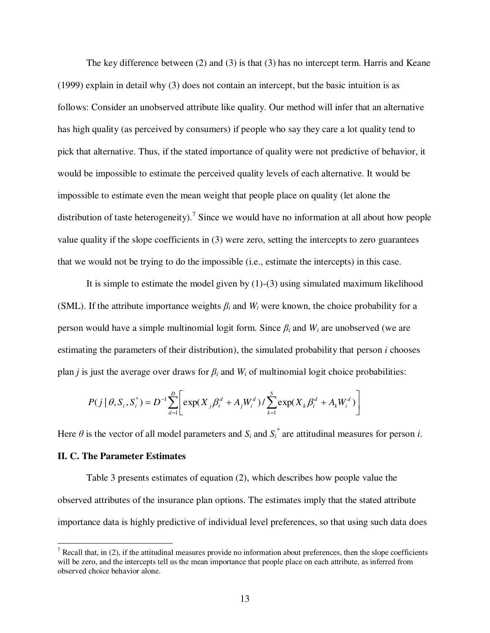The key difference between (2) and (3) is that (3) has no intercept term. Harris and Keane (1999) explain in detail why (3) does not contain an intercept, but the basic intuition is as follows: Consider an unobserved attribute like quality. Our method will infer that an alternative has high quality (as perceived by consumers) if people who say they care a lot quality tend to pick that alternative. Thus, if the stated importance of quality were not predictive of behavior, it would be impossible to estimate the perceived quality levels of each alternative. It would be impossible to estimate even the mean weight that people place on quality (let alone the distribution of taste heterogeneity).<sup>7</sup> Since we would have no information at all about how people value quality if the slope coefficients in (3) were zero, setting the intercepts to zero guarantees that we would not be trying to do the impossible (i.e., estimate the intercepts) in this case.

 It is simple to estimate the model given by (1)-(3) using simulated maximum likelihood (SML). If the attribute importance weights  $\beta_i$  and  $W_i$  were known, the choice probability for a person would have a simple multinomial logit form. Since *βi* and *Wi* are unobserved (we are estimating the parameters of their distribution), the simulated probability that person *i* chooses plan *j* is just the average over draws for  $\beta_i$  and  $W_i$  of multinomial logit choice probabilities:

$$
P(j | \theta, S_i, S_i^*) = D^{-1} \sum_{d=1}^{D} \left[ \exp(X_j \beta_i^d + A_j W_i^d) / \sum_{k=1}^{5} \exp(X_k \beta_i^d + A_k W_i^d) \right]
$$

Here  $\theta$  is the vector of all model parameters and  $S_i$  and  $S_i^*$  are attitudinal measures for person *i*.

#### **II. C. The Parameter Estimates**

 $\overline{a}$ 

Table 3 presents estimates of equation (2), which describes how people value the observed attributes of the insurance plan options. The estimates imply that the stated attribute importance data is highly predictive of individual level preferences, so that using such data does

 $<sup>7</sup>$  Recall that, in (2), if the attitudinal measures provide no information about preferences, then the slope coefficients</sup> will be zero, and the intercepts tell us the mean importance that people place on each attribute, as inferred from observed choice behavior alone.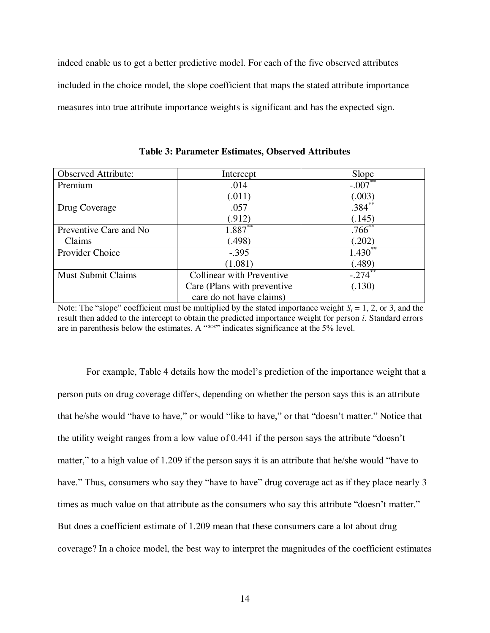indeed enable us to get a better predictive model. For each of the five observed attributes included in the choice model, the slope coefficient that maps the stated attribute importance measures into true attribute importance weights is significant and has the expected sign.

| <b>Observed Attribute:</b> | Intercept                        | Slope               |
|----------------------------|----------------------------------|---------------------|
| Premium                    | .014                             | $-.007$             |
|                            | (.011)                           | (.003)              |
| Drug Coverage              | .057                             | $.384$ <sup>*</sup> |
|                            | (.912)                           | (.145)              |
| Preventive Care and No.    | $1.887***$                       | $.766^{**}$         |
| Claims                     | (.498)                           | (.202)              |
| Provider Choice            | $-.395$                          | $1.430^{**}$        |
|                            | (1.081)                          | (.489)              |
| <b>Must Submit Claims</b>  | <b>Collinear with Preventive</b> | $-.274$ **          |
|                            | Care (Plans with preventive      | (.130)              |
|                            | care do not have claims)         |                     |

**Table 3: Parameter Estimates, Observed Attributes** 

Note: The "slope" coefficient must be multiplied by the stated importance weight  $S_i = 1, 2,$  or 3, and the result then added to the intercept to obtain the predicted importance weight for person *i*. Standard errors are in parenthesis below the estimates. A "\*\*" indicates significance at the 5% level.

For example, Table 4 details how the model's prediction of the importance weight that a person puts on drug coverage differs, depending on whether the person says this is an attribute that he/she would "have to have," or would "like to have," or that "doesn't matter." Notice that the utility weight ranges from a low value of 0.441 if the person says the attribute "doesn't matter," to a high value of 1.209 if the person says it is an attribute that he/she would "have to have." Thus, consumers who say they "have to have" drug coverage act as if they place nearly 3 times as much value on that attribute as the consumers who say this attribute "doesn't matter." But does a coefficient estimate of 1.209 mean that these consumers care a lot about drug coverage? In a choice model, the best way to interpret the magnitudes of the coefficient estimates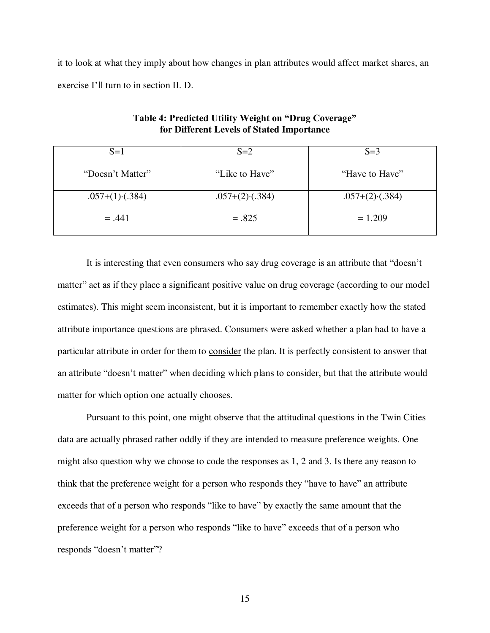it to look at what they imply about how changes in plan attributes would affect market shares, an exercise I'll turn to in section II. D.

| $S=1$               | $S=2$                   | $S=3$                   |
|---------------------|-------------------------|-------------------------|
| "Doesn't Matter"    | "Like to Have"          | "Have to Have"          |
| $.057+(1)$ $(.384)$ | $.057+(2) \cdot (.384)$ | $.057+(2) \cdot (.384)$ |
| $=.441$             | $=.825$                 | $= 1.209$               |

**Table 4: Predicted Utility Weight on "Drug Coverage" for Different Levels of Stated Importance** 

It is interesting that even consumers who say drug coverage is an attribute that "doesn't matter" act as if they place a significant positive value on drug coverage (according to our model estimates). This might seem inconsistent, but it is important to remember exactly how the stated attribute importance questions are phrased. Consumers were asked whether a plan had to have a particular attribute in order for them to consider the plan. It is perfectly consistent to answer that an attribute "doesn't matter" when deciding which plans to consider, but that the attribute would matter for which option one actually chooses.

Pursuant to this point, one might observe that the attitudinal questions in the Twin Cities data are actually phrased rather oddly if they are intended to measure preference weights. One might also question why we choose to code the responses as 1, 2 and 3. Is there any reason to think that the preference weight for a person who responds they "have to have" an attribute exceeds that of a person who responds "like to have" by exactly the same amount that the preference weight for a person who responds "like to have" exceeds that of a person who responds "doesn't matter"?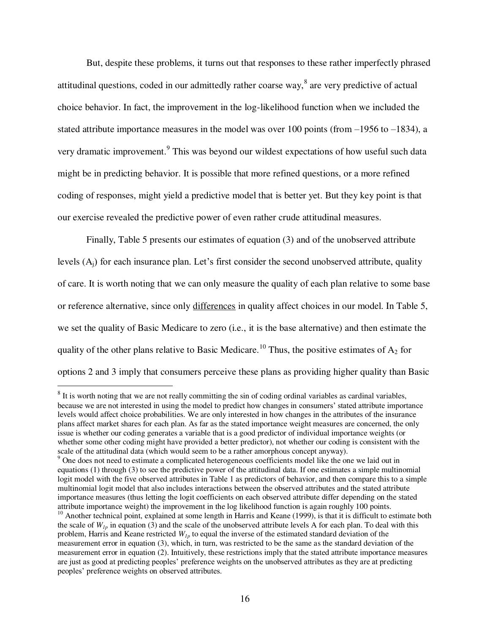But, despite these problems, it turns out that responses to these rather imperfectly phrased attitudinal questions, coded in our admittedly rather coarse way, <sup>8</sup> are very predictive of actual choice behavior. In fact, the improvement in the log-likelihood function when we included the stated attribute importance measures in the model was over 100 points (from –1956 to –1834), a very dramatic improvement.<sup>9</sup> This was beyond our wildest expectations of how useful such data might be in predicting behavior. It is possible that more refined questions, or a more refined coding of responses, might yield a predictive model that is better yet. But they key point is that our exercise revealed the predictive power of even rather crude attitudinal measures.

Finally, Table 5 presents our estimates of equation (3) and of the unobserved attribute levels  $(A_i)$  for each insurance plan. Let's first consider the second unobserved attribute, quality of care. It is worth noting that we can only measure the quality of each plan relative to some base or reference alternative, since only differences in quality affect choices in our model. In Table 5, we set the quality of Basic Medicare to zero (i.e., it is the base alternative) and then estimate the quality of the other plans relative to Basic Medicare.<sup>10</sup> Thus, the positive estimates of  $A_2$  for options 2 and 3 imply that consumers perceive these plans as providing higher quality than Basic

 $8$  It is worth noting that we are not really committing the sin of coding ordinal variables as cardinal variables, because we are not interested in using the model to predict how changes in consumers' stated attribute importance levels would affect choice probabilities. We are only interested in how changes in the attributes of the insurance plans affect market shares for each plan. As far as the stated importance weight measures are concerned, the only issue is whether our coding generates a variable that is a good predictor of individual importance weights (or whether some other coding might have provided a better predictor), not whether our coding is consistent with the scale of the attitudinal data (which would seem to be a rather amorphous concept anyway).

<sup>&</sup>lt;sup>9</sup> One does not need to estimate a complicated heterogeneous coefficients model like the one we laid out in equations (1) through (3) to see the predictive power of the attitudinal data. If one estimates a simple multinomial logit model with the five observed attributes in Table 1 as predictors of behavior, and then compare this to a simple multinomial logit model that also includes interactions between the observed attributes and the stated attribute importance measures (thus letting the logit coefficients on each observed attribute differ depending on the stated attribute importance weight) the improvement in the log likelihood function is again roughly 100 points.

 $10$  Another technical point, explained at some length in Harris and Keane (1999), is that it is difficult to estimate both the scale of  $W_{1p}$  in equation (3) and the scale of the unobserved attribute levels A for each plan. To deal with this problem, Harris and Keane restricted *W1p* to equal the inverse of the estimated standard deviation of the measurement error in equation (3), which, in turn, was restricted to be the same as the standard deviation of the measurement error in equation (2). Intuitively, these restrictions imply that the stated attribute importance measures are just as good at predicting peoples' preference weights on the unobserved attributes as they are at predicting peoples' preference weights on observed attributes.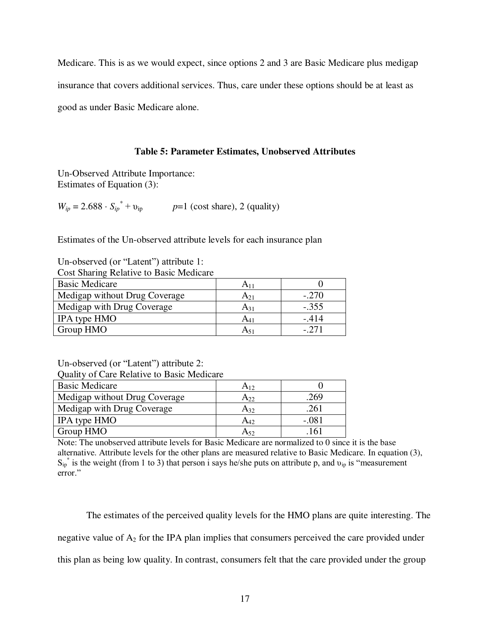Medicare. This is as we would expect, since options 2 and 3 are Basic Medicare plus medigap insurance that covers additional services. Thus, care under these options should be at least as good as under Basic Medicare alone.

#### **Table 5: Parameter Estimates, Unobserved Attributes**

Un-Observed Attribute Importance: Estimates of Equation (3):

 $W_{ip} = 2.688 \cdot S_{ip}^{*} + v_{ip}$  *p*=1 (cost share), 2 (quality)

Estimates of the Un-observed attribute levels for each insurance plan

| Un-observed (or "Latent") attribute 1:  |
|-----------------------------------------|
| Cost Sharing Relative to Basic Medicare |

| <b>Basic Medicare</b>         |     |         |
|-------------------------------|-----|---------|
| Medigap without Drug Coverage | A21 | $-.270$ |
| Medigap with Drug Coverage    | A31 | $-.355$ |
| IPA type HMO                  |     | - 414   |
| Group HMO                     |     | 271     |

Un-observed (or "Latent") attribute 2:

Quality of Care Relative to Basic Medicare

| <b>Basic Medicare</b>         | $A_{12}$ |         |
|-------------------------------|----------|---------|
| Medigap without Drug Coverage | A22      | 269     |
| Medigap with Drug Coverage    | A32      | 261     |
| IPA type HMO                  | A42      | $-.081$ |
| Group HMO                     | A52      | '61     |

Note: The unobserved attribute levels for Basic Medicare are normalized to 0 since it is the base alternative. Attribute levels for the other plans are measured relative to Basic Medicare. In equation (3),  $S_{ip}^*$  is the weight (from 1 to 3) that person i says he/she puts on attribute p, and  $v_{ip}$  is "measurement" error."

The estimates of the perceived quality levels for the HMO plans are quite interesting. The

negative value of A2 for the IPA plan implies that consumers perceived the care provided under

this plan as being low quality. In contrast, consumers felt that the care provided under the group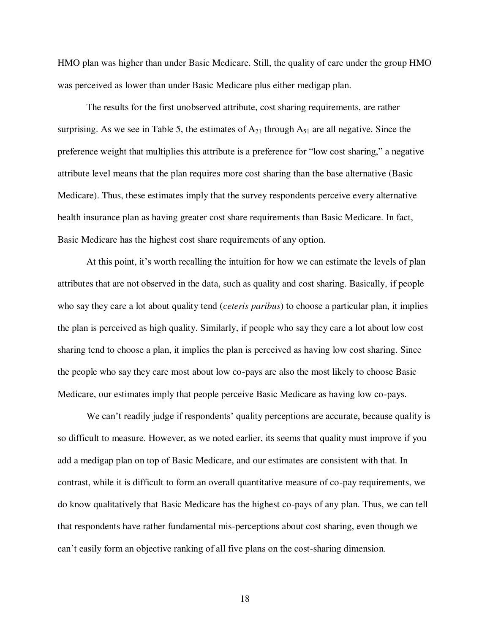HMO plan was higher than under Basic Medicare. Still, the quality of care under the group HMO was perceived as lower than under Basic Medicare plus either medigap plan.

The results for the first unobserved attribute, cost sharing requirements, are rather surprising. As we see in Table 5, the estimates of  $A_{21}$  through  $A_{51}$  are all negative. Since the preference weight that multiplies this attribute is a preference for "low cost sharing," a negative attribute level means that the plan requires more cost sharing than the base alternative (Basic Medicare). Thus, these estimates imply that the survey respondents perceive every alternative health insurance plan as having greater cost share requirements than Basic Medicare. In fact, Basic Medicare has the highest cost share requirements of any option.

At this point, it's worth recalling the intuition for how we can estimate the levels of plan attributes that are not observed in the data, such as quality and cost sharing. Basically, if people who say they care a lot about quality tend (*ceteris paribus*) to choose a particular plan, it implies the plan is perceived as high quality. Similarly, if people who say they care a lot about low cost sharing tend to choose a plan, it implies the plan is perceived as having low cost sharing. Since the people who say they care most about low co-pays are also the most likely to choose Basic Medicare, our estimates imply that people perceive Basic Medicare as having low co-pays.

We can't readily judge if respondents' quality perceptions are accurate, because quality is so difficult to measure. However, as we noted earlier, its seems that quality must improve if you add a medigap plan on top of Basic Medicare, and our estimates are consistent with that. In contrast, while it is difficult to form an overall quantitative measure of co-pay requirements, we do know qualitatively that Basic Medicare has the highest co-pays of any plan. Thus, we can tell that respondents have rather fundamental mis-perceptions about cost sharing, even though we can't easily form an objective ranking of all five plans on the cost-sharing dimension.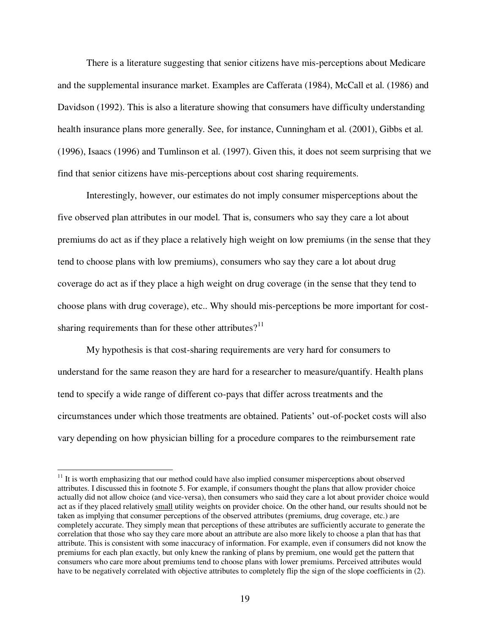There is a literature suggesting that senior citizens have mis-perceptions about Medicare and the supplemental insurance market. Examples are Cafferata (1984), McCall et al. (1986) and Davidson (1992). This is also a literature showing that consumers have difficulty understanding health insurance plans more generally. See, for instance, Cunningham et al. (2001), Gibbs et al. (1996), Isaacs (1996) and Tumlinson et al. (1997). Given this, it does not seem surprising that we find that senior citizens have mis-perceptions about cost sharing requirements.

 Interestingly, however, our estimates do not imply consumer misperceptions about the five observed plan attributes in our model. That is, consumers who say they care a lot about premiums do act as if they place a relatively high weight on low premiums (in the sense that they tend to choose plans with low premiums), consumers who say they care a lot about drug coverage do act as if they place a high weight on drug coverage (in the sense that they tend to choose plans with drug coverage), etc.. Why should mis-perceptions be more important for costsharing requirements than for these other attributes?<sup>11</sup>

 My hypothesis is that cost-sharing requirements are very hard for consumers to understand for the same reason they are hard for a researcher to measure/quantify. Health plans tend to specify a wide range of different co-pays that differ across treatments and the circumstances under which those treatments are obtained. Patients' out-of-pocket costs will also vary depending on how physician billing for a procedure compares to the reimbursement rate

 $11$  It is worth emphasizing that our method could have also implied consumer misperceptions about observed attributes. I discussed this in footnote 5. For example, if consumers thought the plans that allow provider choice actually did not allow choice (and vice-versa), then consumers who said they care a lot about provider choice would act as if they placed relatively small utility weights on provider choice. On the other hand, our results should not be taken as implying that consumer perceptions of the observed attributes (premiums, drug coverage, etc.) are completely accurate. They simply mean that perceptions of these attributes are sufficiently accurate to generate the correlation that those who say they care more about an attribute are also more likely to choose a plan that has that attribute. This is consistent with some inaccuracy of information. For example, even if consumers did not know the premiums for each plan exactly, but only knew the ranking of plans by premium, one would get the pattern that consumers who care more about premiums tend to choose plans with lower premiums. Perceived attributes would have to be negatively correlated with objective attributes to completely flip the sign of the slope coefficients in (2).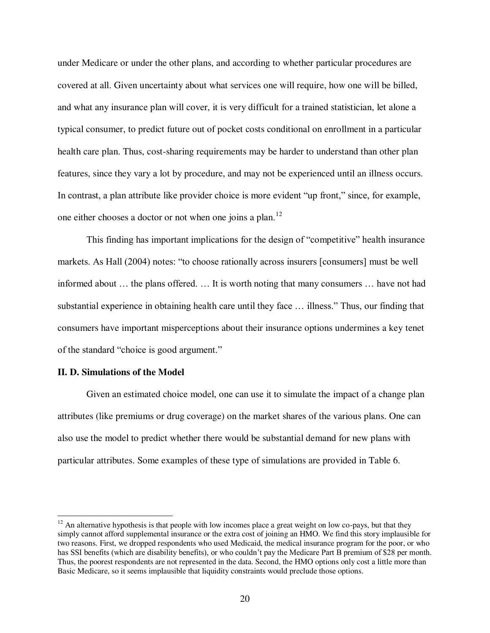under Medicare or under the other plans, and according to whether particular procedures are covered at all. Given uncertainty about what services one will require, how one will be billed, and what any insurance plan will cover, it is very difficult for a trained statistician, let alone a typical consumer, to predict future out of pocket costs conditional on enrollment in a particular health care plan. Thus, cost-sharing requirements may be harder to understand than other plan features, since they vary a lot by procedure, and may not be experienced until an illness occurs. In contrast, a plan attribute like provider choice is more evident "up front," since, for example, one either chooses a doctor or not when one joins a plan.<sup>12</sup>

This finding has important implications for the design of "competitive" health insurance markets. As Hall (2004) notes: "to choose rationally across insurers [consumers] must be well informed about … the plans offered. … It is worth noting that many consumers … have not had substantial experience in obtaining health care until they face … illness." Thus, our finding that consumers have important misperceptions about their insurance options undermines a key tenet of the standard "choice is good argument."

#### **II. D. Simulations of the Model**

 $\overline{a}$ 

 Given an estimated choice model, one can use it to simulate the impact of a change plan attributes (like premiums or drug coverage) on the market shares of the various plans. One can also use the model to predict whether there would be substantial demand for new plans with particular attributes. Some examples of these type of simulations are provided in Table 6.

 $12$  An alternative hypothesis is that people with low incomes place a great weight on low co-pays, but that they simply cannot afford supplemental insurance or the extra cost of joining an HMO. We find this story implausible for two reasons. First, we dropped respondents who used Medicaid, the medical insurance program for the poor, or who has SSI benefits (which are disability benefits), or who couldn't pay the Medicare Part B premium of \$28 per month. Thus, the poorest respondents are not represented in the data. Second, the HMO options only cost a little more than Basic Medicare, so it seems implausible that liquidity constraints would preclude those options.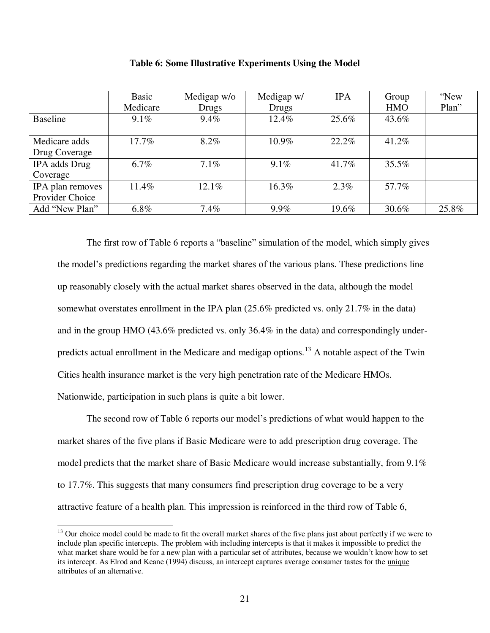|                                     | <b>Basic</b><br>Medicare | Medigap w/o<br>Drugs | Medigap w/<br>Drugs | <b>IPA</b> | Group<br><b>HMO</b> | "New<br>Plan" |
|-------------------------------------|--------------------------|----------------------|---------------------|------------|---------------------|---------------|
| <b>Baseline</b>                     | $9.1\%$                  | $9.4\%$              | 12.4%               | 25.6%      | 43.6%               |               |
| Medicare adds<br>Drug Coverage      | $17.7\%$                 | 8.2%                 | 10.9%               | $22.2\%$   | 41.2%               |               |
| IPA adds Drug<br>Coverage           | $6.7\%$                  | 7.1%                 | $9.1\%$             | 41.7%      | 35.5%               |               |
| IPA plan removes<br>Provider Choice | 11.4%                    | $12.1\%$             | 16.3%               | 2.3%       | 57.7%               |               |
| Add "New Plan"                      | $6.8\%$                  | 7.4%                 | $9.9\%$             | 19.6%      | 30.6%               | 25.8%         |

#### **Table 6: Some Illustrative Experiments Using the Model**

The first row of Table 6 reports a "baseline" simulation of the model, which simply gives the model's predictions regarding the market shares of the various plans. These predictions line up reasonably closely with the actual market shares observed in the data, although the model somewhat overstates enrollment in the IPA plan (25.6% predicted vs. only 21.7% in the data) and in the group HMO (43.6% predicted vs. only 36.4% in the data) and correspondingly underpredicts actual enrollment in the Medicare and medigap options.<sup>13</sup> A notable aspect of the Twin Cities health insurance market is the very high penetration rate of the Medicare HMOs. Nationwide, participation in such plans is quite a bit lower.

The second row of Table 6 reports our model's predictions of what would happen to the market shares of the five plans if Basic Medicare were to add prescription drug coverage. The model predicts that the market share of Basic Medicare would increase substantially, from 9.1% to 17.7%. This suggests that many consumers find prescription drug coverage to be a very attractive feature of a health plan. This impression is reinforced in the third row of Table 6,

 $\overline{\phantom{a}}$ 

<sup>&</sup>lt;sup>13</sup> Our choice model could be made to fit the overall market shares of the five plans just about perfectly if we were to include plan specific intercepts. The problem with including intercepts is that it makes it impossible to predict the what market share would be for a new plan with a particular set of attributes, because we wouldn't know how to set its intercept. As Elrod and Keane (1994) discuss, an intercept captures average consumer tastes for the unique attributes of an alternative.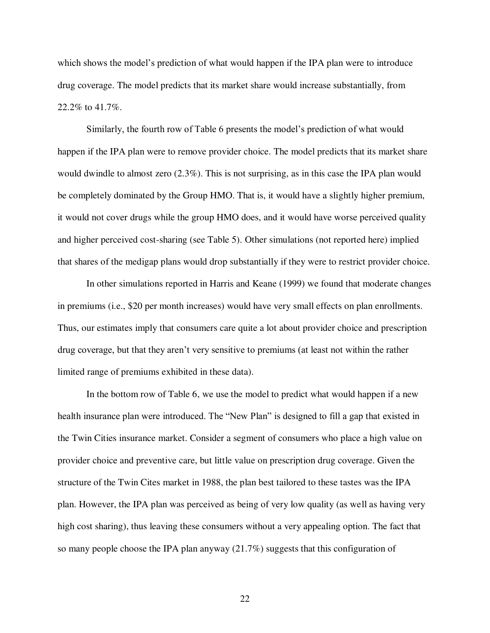which shows the model's prediction of what would happen if the IPA plan were to introduce drug coverage. The model predicts that its market share would increase substantially, from 22.2% to 41.7%.

Similarly, the fourth row of Table 6 presents the model's prediction of what would happen if the IPA plan were to remove provider choice. The model predicts that its market share would dwindle to almost zero (2.3%). This is not surprising, as in this case the IPA plan would be completely dominated by the Group HMO. That is, it would have a slightly higher premium, it would not cover drugs while the group HMO does, and it would have worse perceived quality and higher perceived cost-sharing (see Table 5). Other simulations (not reported here) implied that shares of the medigap plans would drop substantially if they were to restrict provider choice.

In other simulations reported in Harris and Keane (1999) we found that moderate changes in premiums (i.e., \$20 per month increases) would have very small effects on plan enrollments. Thus, our estimates imply that consumers care quite a lot about provider choice and prescription drug coverage, but that they aren't very sensitive to premiums (at least not within the rather limited range of premiums exhibited in these data).

In the bottom row of Table 6, we use the model to predict what would happen if a new health insurance plan were introduced. The "New Plan" is designed to fill a gap that existed in the Twin Cities insurance market. Consider a segment of consumers who place a high value on provider choice and preventive care, but little value on prescription drug coverage. Given the structure of the Twin Cites market in 1988, the plan best tailored to these tastes was the IPA plan. However, the IPA plan was perceived as being of very low quality (as well as having very high cost sharing), thus leaving these consumers without a very appealing option. The fact that so many people choose the IPA plan anyway  $(21.7%)$  suggests that this configuration of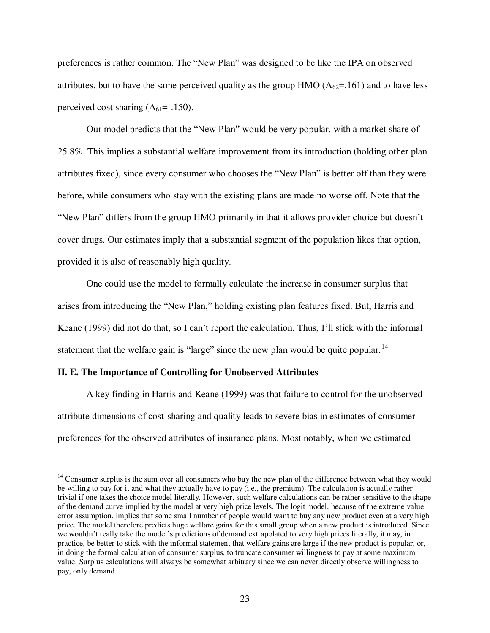preferences is rather common. The "New Plan" was designed to be like the IPA on observed attributes, but to have the same perceived quality as the group HMO  $(A<sub>62</sub>=.161)$  and to have less perceived cost sharing  $(A<sub>61</sub>=-.150)$ .

Our model predicts that the "New Plan" would be very popular, with a market share of 25.8%. This implies a substantial welfare improvement from its introduction (holding other plan attributes fixed), since every consumer who chooses the "New Plan" is better off than they were before, while consumers who stay with the existing plans are made no worse off. Note that the "New Plan" differs from the group HMO primarily in that it allows provider choice but doesn't cover drugs. Our estimates imply that a substantial segment of the population likes that option, provided it is also of reasonably high quality.

One could use the model to formally calculate the increase in consumer surplus that arises from introducing the "New Plan," holding existing plan features fixed. But, Harris and Keane (1999) did not do that, so I can't report the calculation. Thus, I'll stick with the informal statement that the welfare gain is "large" since the new plan would be quite popular.<sup>14</sup>

#### **II. E. The Importance of Controlling for Unobserved Attributes**

 $\overline{a}$ 

A key finding in Harris and Keane (1999) was that failure to control for the unobserved attribute dimensions of cost-sharing and quality leads to severe bias in estimates of consumer preferences for the observed attributes of insurance plans. Most notably, when we estimated

 $14$  Consumer surplus is the sum over all consumers who buy the new plan of the difference between what they would be willing to pay for it and what they actually have to pay (i.e., the premium). The calculation is actually rather trivial if one takes the choice model literally. However, such welfare calculations can be rather sensitive to the shape of the demand curve implied by the model at very high price levels. The logit model, because of the extreme value error assumption, implies that some small number of people would want to buy any new product even at a very high price. The model therefore predicts huge welfare gains for this small group when a new product is introduced. Since we wouldn't really take the model's predictions of demand extrapolated to very high prices literally, it may, in practice, be better to stick with the informal statement that welfare gains are large if the new product is popular, or, in doing the formal calculation of consumer surplus, to truncate consumer willingness to pay at some maximum value. Surplus calculations will always be somewhat arbitrary since we can never directly observe willingness to pay, only demand.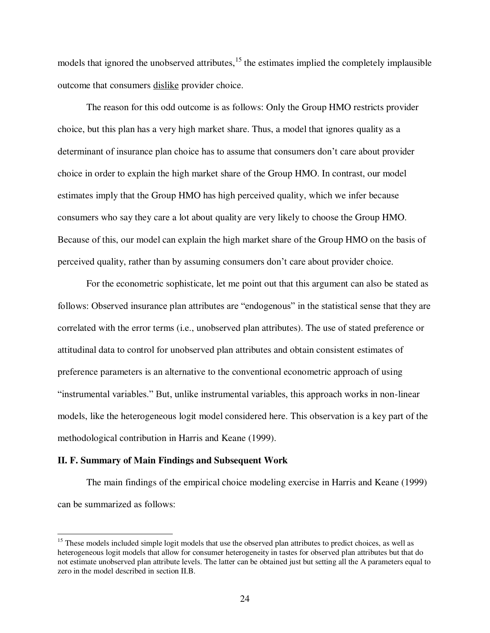models that ignored the unobserved attributes, $15$  the estimates implied the completely implausible outcome that consumers dislike provider choice.

 The reason for this odd outcome is as follows: Only the Group HMO restricts provider choice, but this plan has a very high market share. Thus, a model that ignores quality as a determinant of insurance plan choice has to assume that consumers don't care about provider choice in order to explain the high market share of the Group HMO. In contrast, our model estimates imply that the Group HMO has high perceived quality, which we infer because consumers who say they care a lot about quality are very likely to choose the Group HMO. Because of this, our model can explain the high market share of the Group HMO on the basis of perceived quality, rather than by assuming consumers don't care about provider choice.

For the econometric sophisticate, let me point out that this argument can also be stated as follows: Observed insurance plan attributes are "endogenous" in the statistical sense that they are correlated with the error terms (i.e., unobserved plan attributes). The use of stated preference or attitudinal data to control for unobserved plan attributes and obtain consistent estimates of preference parameters is an alternative to the conventional econometric approach of using "instrumental variables." But, unlike instrumental variables, this approach works in non-linear models, like the heterogeneous logit model considered here. This observation is a key part of the methodological contribution in Harris and Keane (1999).

#### **II. F. Summary of Main Findings and Subsequent Work**

 $\overline{\phantom{a}}$ 

 The main findings of the empirical choice modeling exercise in Harris and Keane (1999) can be summarized as follows:

<sup>&</sup>lt;sup>15</sup> These models included simple logit models that use the observed plan attributes to predict choices, as well as heterogeneous logit models that allow for consumer heterogeneity in tastes for observed plan attributes but that do not estimate unobserved plan attribute levels. The latter can be obtained just but setting all the A parameters equal to zero in the model described in section II.B.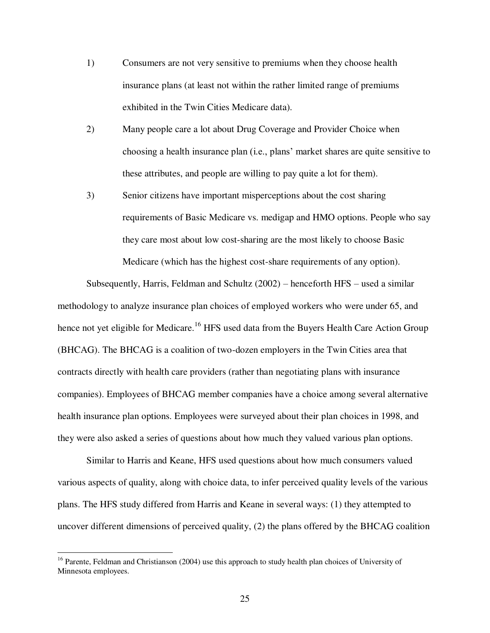- 1) Consumers are not very sensitive to premiums when they choose health insurance plans (at least not within the rather limited range of premiums exhibited in the Twin Cities Medicare data).
- 2) Many people care a lot about Drug Coverage and Provider Choice when choosing a health insurance plan (i.e., plans' market shares are quite sensitive to these attributes, and people are willing to pay quite a lot for them).
- 3) Senior citizens have important misperceptions about the cost sharing requirements of Basic Medicare vs. medigap and HMO options. People who say they care most about low cost-sharing are the most likely to choose Basic Medicare (which has the highest cost-share requirements of any option).

Subsequently, Harris, Feldman and Schultz (2002) – henceforth HFS – used a similar methodology to analyze insurance plan choices of employed workers who were under 65, and hence not yet eligible for Medicare.<sup>16</sup> HFS used data from the Buyers Health Care Action Group (BHCAG). The BHCAG is a coalition of two-dozen employers in the Twin Cities area that contracts directly with health care providers (rather than negotiating plans with insurance companies). Employees of BHCAG member companies have a choice among several alternative health insurance plan options. Employees were surveyed about their plan choices in 1998, and they were also asked a series of questions about how much they valued various plan options.

Similar to Harris and Keane, HFS used questions about how much consumers valued various aspects of quality, along with choice data, to infer perceived quality levels of the various plans. The HFS study differed from Harris and Keane in several ways: (1) they attempted to uncover different dimensions of perceived quality, (2) the plans offered by the BHCAG coalition

<sup>&</sup>lt;sup>16</sup> Parente, Feldman and Christianson (2004) use this approach to study health plan choices of University of Minnesota employees.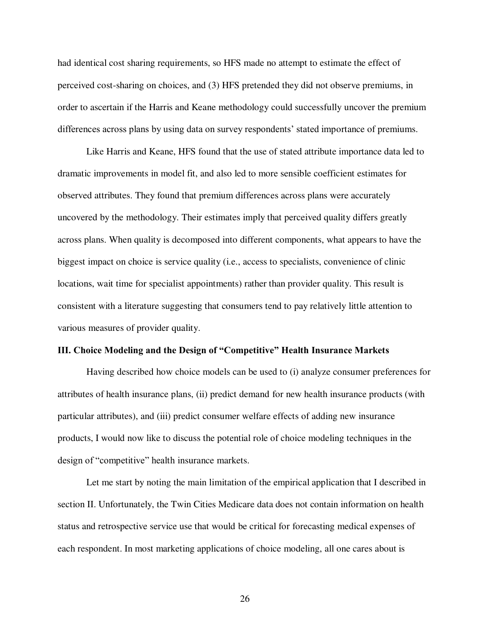had identical cost sharing requirements, so HFS made no attempt to estimate the effect of perceived cost-sharing on choices, and (3) HFS pretended they did not observe premiums, in order to ascertain if the Harris and Keane methodology could successfully uncover the premium differences across plans by using data on survey respondents' stated importance of premiums.

Like Harris and Keane, HFS found that the use of stated attribute importance data led to dramatic improvements in model fit, and also led to more sensible coefficient estimates for observed attributes. They found that premium differences across plans were accurately uncovered by the methodology. Their estimates imply that perceived quality differs greatly across plans. When quality is decomposed into different components, what appears to have the biggest impact on choice is service quality (i.e., access to specialists, convenience of clinic locations, wait time for specialist appointments) rather than provider quality. This result is consistent with a literature suggesting that consumers tend to pay relatively little attention to various measures of provider quality.

#### **III. Choice Modeling and the Design of "Competitive" Health Insurance Markets**

 Having described how choice models can be used to (i) analyze consumer preferences for attributes of health insurance plans, (ii) predict demand for new health insurance products (with particular attributes), and (iii) predict consumer welfare effects of adding new insurance products, I would now like to discuss the potential role of choice modeling techniques in the design of "competitive" health insurance markets.

 Let me start by noting the main limitation of the empirical application that I described in section II. Unfortunately, the Twin Cities Medicare data does not contain information on health status and retrospective service use that would be critical for forecasting medical expenses of each respondent. In most marketing applications of choice modeling, all one cares about is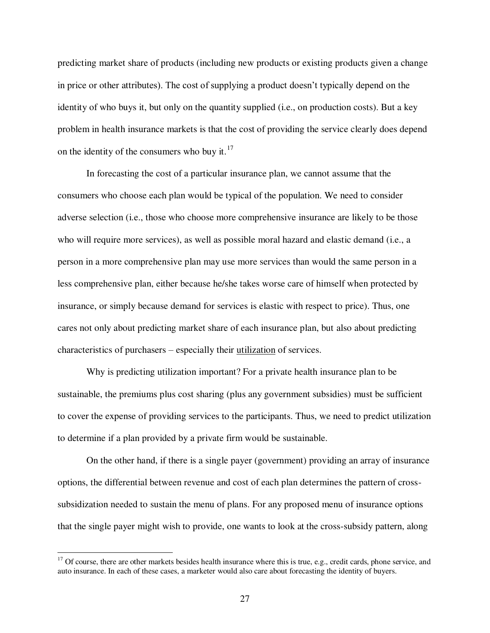predicting market share of products (including new products or existing products given a change in price or other attributes). The cost of supplying a product doesn't typically depend on the identity of who buys it, but only on the quantity supplied (i.e., on production costs). But a key problem in health insurance markets is that the cost of providing the service clearly does depend on the identity of the consumers who buy it. $17$ 

In forecasting the cost of a particular insurance plan, we cannot assume that the consumers who choose each plan would be typical of the population. We need to consider adverse selection (i.e., those who choose more comprehensive insurance are likely to be those who will require more services), as well as possible moral hazard and elastic demand (i.e., a person in a more comprehensive plan may use more services than would the same person in a less comprehensive plan, either because he/she takes worse care of himself when protected by insurance, or simply because demand for services is elastic with respect to price). Thus, one cares not only about predicting market share of each insurance plan, but also about predicting characteristics of purchasers – especially their utilization of services.

Why is predicting utilization important? For a private health insurance plan to be sustainable, the premiums plus cost sharing (plus any government subsidies) must be sufficient to cover the expense of providing services to the participants. Thus, we need to predict utilization to determine if a plan provided by a private firm would be sustainable.

On the other hand, if there is a single payer (government) providing an array of insurance options, the differential between revenue and cost of each plan determines the pattern of crosssubsidization needed to sustain the menu of plans. For any proposed menu of insurance options that the single payer might wish to provide, one wants to look at the cross-subsidy pattern, along

 $17$  Of course, there are other markets besides health insurance where this is true, e.g., credit cards, phone service, and auto insurance. In each of these cases, a marketer would also care about forecasting the identity of buyers.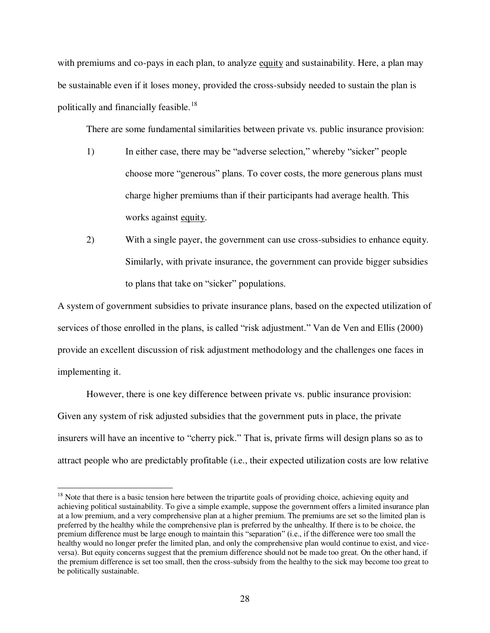with premiums and co-pays in each plan, to analyze equity and sustainability. Here, a plan may be sustainable even if it loses money, provided the cross-subsidy needed to sustain the plan is politically and financially feasible.<sup>18</sup>

There are some fundamental similarities between private vs. public insurance provision:

- 1) In either case, there may be "adverse selection," whereby "sicker" people choose more "generous" plans. To cover costs, the more generous plans must charge higher premiums than if their participants had average health. This works against equity.
- 2) With a single payer, the government can use cross-subsidies to enhance equity. Similarly, with private insurance, the government can provide bigger subsidies to plans that take on "sicker" populations.

A system of government subsidies to private insurance plans, based on the expected utilization of services of those enrolled in the plans, is called "risk adjustment." Van de Ven and Ellis (2000) provide an excellent discussion of risk adjustment methodology and the challenges one faces in implementing it.

 However, there is one key difference between private vs. public insurance provision: Given any system of risk adjusted subsidies that the government puts in place, the private insurers will have an incentive to "cherry pick." That is, private firms will design plans so as to attract people who are predictably profitable (i.e., their expected utilization costs are low relative

 $18$  Note that there is a basic tension here between the tripartite goals of providing choice, achieving equity and achieving political sustainability. To give a simple example, suppose the government offers a limited insurance plan at a low premium, and a very comprehensive plan at a higher premium. The premiums are set so the limited plan is preferred by the healthy while the comprehensive plan is preferred by the unhealthy. If there is to be choice, the premium difference must be large enough to maintain this "separation" (i.e., if the difference were too small the healthy would no longer prefer the limited plan, and only the comprehensive plan would continue to exist, and viceversa). But equity concerns suggest that the premium difference should not be made too great. On the other hand, if the premium difference is set too small, then the cross-subsidy from the healthy to the sick may become too great to be politically sustainable.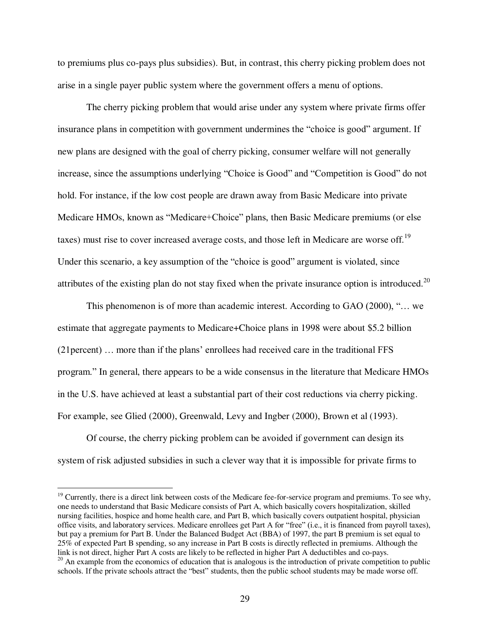to premiums plus co-pays plus subsidies). But, in contrast, this cherry picking problem does not arise in a single payer public system where the government offers a menu of options.

The cherry picking problem that would arise under any system where private firms offer insurance plans in competition with government undermines the "choice is good" argument. If new plans are designed with the goal of cherry picking, consumer welfare will not generally increase, since the assumptions underlying "Choice is Good" and "Competition is Good" do not hold. For instance, if the low cost people are drawn away from Basic Medicare into private Medicare HMOs, known as "Medicare+Choice" plans, then Basic Medicare premiums (or else taxes) must rise to cover increased average costs, and those left in Medicare are worse off.<sup>19</sup> Under this scenario, a key assumption of the "choice is good" argument is violated, since attributes of the existing plan do not stay fixed when the private insurance option is introduced.<sup>20</sup>

This phenomenon is of more than academic interest. According to GAO (2000), "… we estimate that aggregate payments to Medicare+Choice plans in 1998 were about \$5.2 billion (21percent) … more than if the plans' enrollees had received care in the traditional FFS program." In general, there appears to be a wide consensus in the literature that Medicare HMOs in the U.S. have achieved at least a substantial part of their cost reductions via cherry picking. For example, see Glied (2000), Greenwald, Levy and Ingber (2000), Brown et al (1993).

Of course, the cherry picking problem can be avoided if government can design its system of risk adjusted subsidies in such a clever way that it is impossible for private firms to

<sup>&</sup>lt;sup>19</sup> Currently, there is a direct link between costs of the Medicare fee-for-service program and premiums. To see why, one needs to understand that Basic Medicare consists of Part A, which basically covers hospitalization, skilled nursing facilities, hospice and home health care, and Part B, which basically covers outpatient hospital, physician office visits, and laboratory services. Medicare enrollees get Part A for "free" (i.e., it is financed from payroll taxes), but pay a premium for Part B. Under the Balanced Budget Act (BBA) of 1997, the part B premium is set equal to 25% of expected Part B spending, so any increase in Part B costs is directly reflected in premiums. Although the link is not direct, higher Part A costs are likely to be reflected in higher Part A deductibles and co-pays.

 $20$  An example from the economics of education that is analogous is the introduction of private competition to public schools. If the private schools attract the "best" students, then the public school students may be made worse off.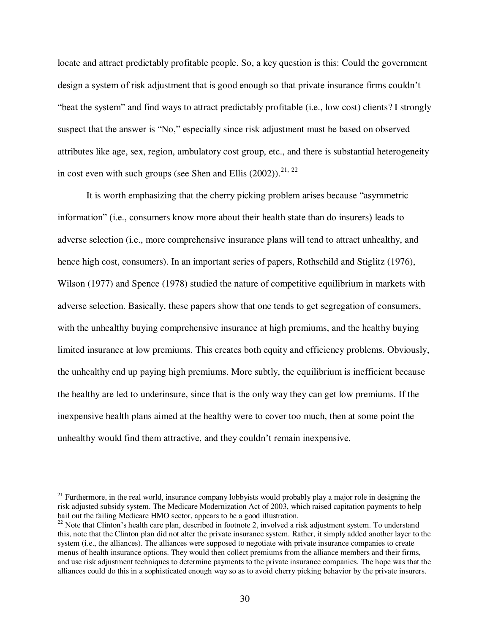locate and attract predictably profitable people. So, a key question is this: Could the government design a system of risk adjustment that is good enough so that private insurance firms couldn't "beat the system" and find ways to attract predictably profitable (i.e., low cost) clients? I strongly suspect that the answer is "No," especially since risk adjustment must be based on observed attributes like age, sex, region, ambulatory cost group, etc., and there is substantial heterogeneity in cost even with such groups (see Shen and Ellis  $(2002)$ ).<sup>21, 22</sup>

 It is worth emphasizing that the cherry picking problem arises because "asymmetric information" (i.e., consumers know more about their health state than do insurers) leads to adverse selection (i.e., more comprehensive insurance plans will tend to attract unhealthy, and hence high cost, consumers). In an important series of papers, Rothschild and Stiglitz (1976), Wilson (1977) and Spence (1978) studied the nature of competitive equilibrium in markets with adverse selection. Basically, these papers show that one tends to get segregation of consumers, with the unhealthy buying comprehensive insurance at high premiums, and the healthy buying limited insurance at low premiums. This creates both equity and efficiency problems. Obviously, the unhealthy end up paying high premiums. More subtly, the equilibrium is inefficient because the healthy are led to underinsure, since that is the only way they can get low premiums. If the inexpensive health plans aimed at the healthy were to cover too much, then at some point the unhealthy would find them attractive, and they couldn't remain inexpensive.

<sup>&</sup>lt;sup>21</sup> Furthermore, in the real world, insurance company lobbyists would probably play a major role in designing the risk adjusted subsidy system. The Medicare Modernization Act of 2003, which raised capitation payments to help bail out the failing Medicare HMO sector, appears to be a good illustration.

<sup>&</sup>lt;sup>22</sup> Note that Clinton's health care plan, described in footnote 2, involved a risk adjustment system. To understand this, note that the Clinton plan did not alter the private insurance system. Rather, it simply added another layer to the system (i.e., the alliances). The alliances were supposed to negotiate with private insurance companies to create menus of health insurance options. They would then collect premiums from the alliance members and their firms, and use risk adjustment techniques to determine payments to the private insurance companies. The hope was that the alliances could do this in a sophisticated enough way so as to avoid cherry picking behavior by the private insurers.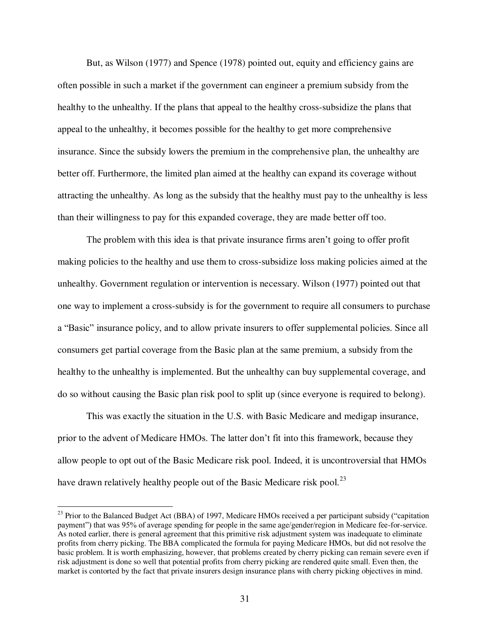But, as Wilson (1977) and Spence (1978) pointed out, equity and efficiency gains are often possible in such a market if the government can engineer a premium subsidy from the healthy to the unhealthy. If the plans that appeal to the healthy cross-subsidize the plans that appeal to the unhealthy, it becomes possible for the healthy to get more comprehensive insurance. Since the subsidy lowers the premium in the comprehensive plan, the unhealthy are better off. Furthermore, the limited plan aimed at the healthy can expand its coverage without attracting the unhealthy. As long as the subsidy that the healthy must pay to the unhealthy is less than their willingness to pay for this expanded coverage, they are made better off too.

The problem with this idea is that private insurance firms aren't going to offer profit making policies to the healthy and use them to cross-subsidize loss making policies aimed at the unhealthy. Government regulation or intervention is necessary. Wilson (1977) pointed out that one way to implement a cross-subsidy is for the government to require all consumers to purchase a "Basic" insurance policy, and to allow private insurers to offer supplemental policies. Since all consumers get partial coverage from the Basic plan at the same premium, a subsidy from the healthy to the unhealthy is implemented. But the unhealthy can buy supplemental coverage, and do so without causing the Basic plan risk pool to split up (since everyone is required to belong).

This was exactly the situation in the U.S. with Basic Medicare and medigap insurance, prior to the advent of Medicare HMOs. The latter don't fit into this framework, because they allow people to opt out of the Basic Medicare risk pool. Indeed, it is uncontroversial that HMOs have drawn relatively healthy people out of the Basic Medicare risk pool.<sup>23</sup>

<sup>&</sup>lt;sup>23</sup> Prior to the Balanced Budget Act (BBA) of 1997, Medicare HMOs received a per participant subsidy ("capitation payment") that was 95% of average spending for people in the same age/gender/region in Medicare fee-for-service. As noted earlier, there is general agreement that this primitive risk adjustment system was inadequate to eliminate profits from cherry picking. The BBA complicated the formula for paying Medicare HMOs, but did not resolve the basic problem. It is worth emphasizing, however, that problems created by cherry picking can remain severe even if risk adjustment is done so well that potential profits from cherry picking are rendered quite small. Even then, the market is contorted by the fact that private insurers design insurance plans with cherry picking objectives in mind.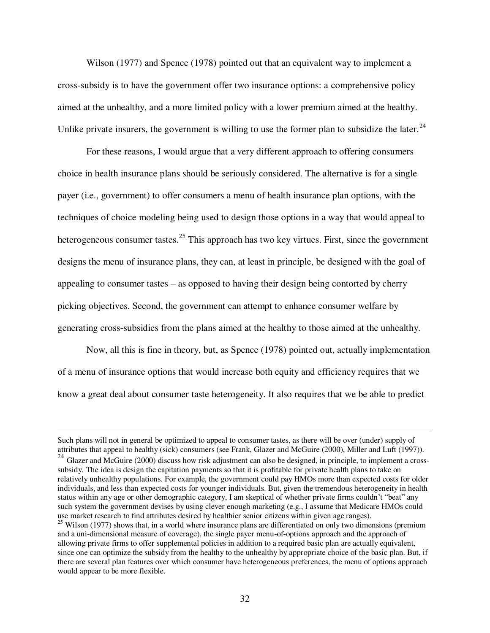Wilson (1977) and Spence (1978) pointed out that an equivalent way to implement a cross-subsidy is to have the government offer two insurance options: a comprehensive policy aimed at the unhealthy, and a more limited policy with a lower premium aimed at the healthy. Unlike private insurers, the government is willing to use the former plan to subsidize the later.<sup>24</sup>

 For these reasons, I would argue that a very different approach to offering consumers choice in health insurance plans should be seriously considered. The alternative is for a single payer (i.e., government) to offer consumers a menu of health insurance plan options, with the techniques of choice modeling being used to design those options in a way that would appeal to heterogeneous consumer tastes.<sup>25</sup> This approach has two key virtues. First, since the government designs the menu of insurance plans, they can, at least in principle, be designed with the goal of appealing to consumer tastes – as opposed to having their design being contorted by cherry picking objectives. Second, the government can attempt to enhance consumer welfare by generating cross-subsidies from the plans aimed at the healthy to those aimed at the unhealthy.

Now, all this is fine in theory, but, as Spence (1978) pointed out, actually implementation of a menu of insurance options that would increase both equity and efficiency requires that we know a great deal about consumer taste heterogeneity. It also requires that we be able to predict

Such plans will not in general be optimized to appeal to consumer tastes, as there will be over (under) supply of attributes that appeal to healthy (sick) consumers (see Frank, Glazer and McGuire (2000), Miller and Luft (1997)).  $^{24}$  Glazer and McGuire (2000) discuss how risk adjustment can also be designed, in principle, to implement a crosssubsidy. The idea is design the capitation payments so that it is profitable for private health plans to take on relatively unhealthy populations. For example, the government could pay HMOs more than expected costs for older individuals, and less than expected costs for younger individuals. But, given the tremendous heterogeneity in health status within any age or other demographic category, I am skeptical of whether private firms couldn't "beat" any such system the government devises by using clever enough marketing (e.g., I assume that Medicare HMOs could use market research to find attributes desired by healthier senior citizens within given age ranges).  $^{25}$  Wilson (1977) shows that, in a world where insurance plans are differentiated on only two dimensions (premium and a uni-dimensional measure of coverage), the single payer menu-of-options approach and the approach of allowing private firms to offer supplemental policies in addition to a required basic plan are actually equivalent,

since one can optimize the subsidy from the healthy to the unhealthy by appropriate choice of the basic plan. But, if there are several plan features over which consumer have heterogeneous preferences, the menu of options approach would appear to be more flexible.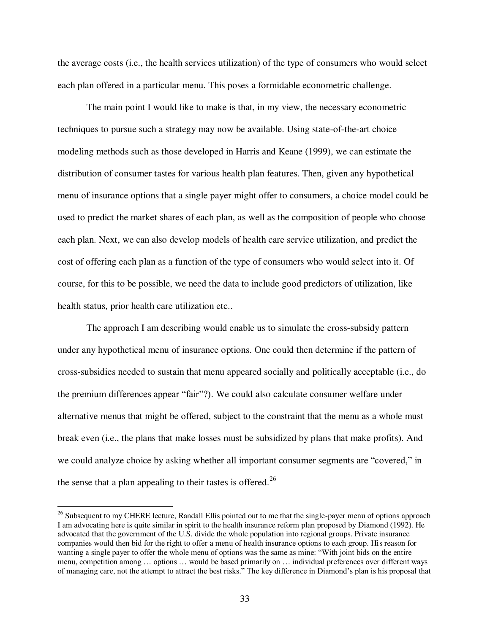the average costs (i.e., the health services utilization) of the type of consumers who would select each plan offered in a particular menu. This poses a formidable econometric challenge.

 The main point I would like to make is that, in my view, the necessary econometric techniques to pursue such a strategy may now be available. Using state-of-the-art choice modeling methods such as those developed in Harris and Keane (1999), we can estimate the distribution of consumer tastes for various health plan features. Then, given any hypothetical menu of insurance options that a single payer might offer to consumers, a choice model could be used to predict the market shares of each plan, as well as the composition of people who choose each plan. Next, we can also develop models of health care service utilization, and predict the cost of offering each plan as a function of the type of consumers who would select into it. Of course, for this to be possible, we need the data to include good predictors of utilization, like health status, prior health care utilization etc..

The approach I am describing would enable us to simulate the cross-subsidy pattern under any hypothetical menu of insurance options. One could then determine if the pattern of cross-subsidies needed to sustain that menu appeared socially and politically acceptable (i.e., do the premium differences appear "fair"?). We could also calculate consumer welfare under alternative menus that might be offered, subject to the constraint that the menu as a whole must break even (i.e., the plans that make losses must be subsidized by plans that make profits). And we could analyze choice by asking whether all important consumer segments are "covered," in the sense that a plan appealing to their tastes is offered.<sup>26</sup>

<sup>&</sup>lt;sup>26</sup> Subsequent to my CHERE lecture, Randall Ellis pointed out to me that the single-payer menu of options approach I am advocating here is quite similar in spirit to the health insurance reform plan proposed by Diamond (1992). He advocated that the government of the U.S. divide the whole population into regional groups. Private insurance companies would then bid for the right to offer a menu of health insurance options to each group. His reason for wanting a single payer to offer the whole menu of options was the same as mine: "With joint bids on the entire menu, competition among … options … would be based primarily on … individual preferences over different ways of managing care, not the attempt to attract the best risks." The key difference in Diamond's plan is his proposal that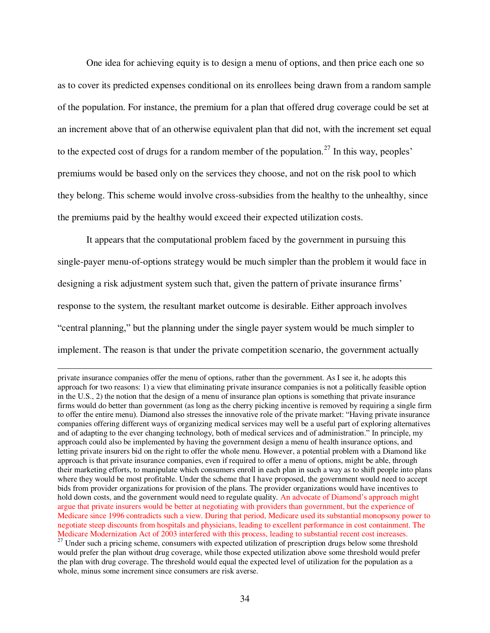One idea for achieving equity is to design a menu of options, and then price each one so as to cover its predicted expenses conditional on its enrollees being drawn from a random sample of the population. For instance, the premium for a plan that offered drug coverage could be set at an increment above that of an otherwise equivalent plan that did not, with the increment set equal to the expected cost of drugs for a random member of the population.<sup>27</sup> In this way, peoples' premiums would be based only on the services they choose, and not on the risk pool to which they belong. This scheme would involve cross-subsidies from the healthy to the unhealthy, since the premiums paid by the healthy would exceed their expected utilization costs.

It appears that the computational problem faced by the government in pursuing this single-payer menu-of-options strategy would be much simpler than the problem it would face in designing a risk adjustment system such that, given the pattern of private insurance firms' response to the system, the resultant market outcome is desirable. Either approach involves "central planning," but the planning under the single payer system would be much simpler to implement. The reason is that under the private competition scenario, the government actually

 $\overline{a}$ 

whole, minus some increment since consumers are risk averse.

private insurance companies offer the menu of options, rather than the government. As I see it, he adopts this approach for two reasons: 1) a view that eliminating private insurance companies is not a politically feasible option in the U.S., 2) the notion that the design of a menu of insurance plan options is something that private insurance firms would do better than government (as long as the cherry picking incentive is removed by requiring a single firm to offer the entire menu). Diamond also stresses the innovative role of the private market: "Having private insurance companies offering different ways of organizing medical services may well be a useful part of exploring alternatives and of adapting to the ever changing technology, both of medical services and of administration." In principle, my approach could also be implemented by having the government design a menu of health insurance options, and letting private insurers bid on the right to offer the whole menu. However, a potential problem with a Diamond like approach is that private insurance companies, even if required to offer a menu of options, might be able, through their marketing efforts, to manipulate which consumers enroll in each plan in such a way as to shift people into plans where they would be most profitable. Under the scheme that I have proposed, the government would need to accept bids from provider organizations for provision of the plans. The provider organizations would have incentives to hold down costs, and the government would need to regulate quality. An advocate of Diamond's approach might argue that private insurers would be better at negotiating with providers than government, but the experience of Medicare since 1996 contradicts such a view. During that period, Medicare used its substantial monopsony power to negotiate steep discounts from hospitals and physicians, leading to excellent performance in cost containment. The Medicare Modernization Act of 2003 interfered with this process, leading to substantial recent cost increases. <sup>27</sup> Under such a pricing scheme, consumers with expected utilization of prescription drugs below some threshold would prefer the plan without drug coverage, while those expected utilization above some threshold would prefer the plan with drug coverage. The threshold would equal the expected level of utilization for the population as a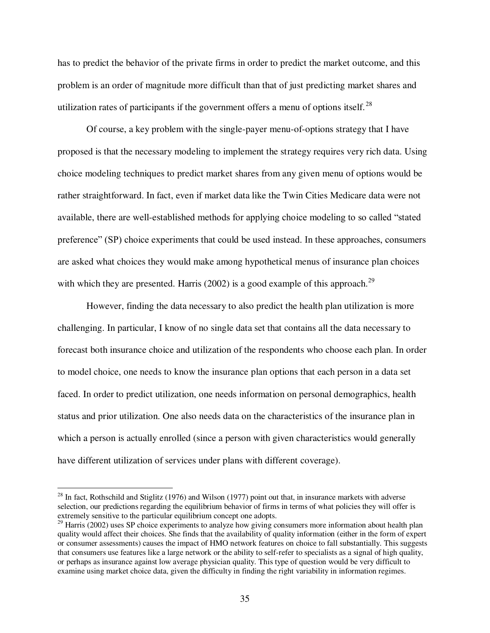has to predict the behavior of the private firms in order to predict the market outcome, and this problem is an order of magnitude more difficult than that of just predicting market shares and utilization rates of participants if the government offers a menu of options itself.<sup>28</sup>

 Of course, a key problem with the single-payer menu-of-options strategy that I have proposed is that the necessary modeling to implement the strategy requires very rich data. Using choice modeling techniques to predict market shares from any given menu of options would be rather straightforward. In fact, even if market data like the Twin Cities Medicare data were not available, there are well-established methods for applying choice modeling to so called "stated preference" (SP) choice experiments that could be used instead. In these approaches, consumers are asked what choices they would make among hypothetical menus of insurance plan choices with which they are presented. Harris (2002) is a good example of this approach.<sup>29</sup>

However, finding the data necessary to also predict the health plan utilization is more challenging. In particular, I know of no single data set that contains all the data necessary to forecast both insurance choice and utilization of the respondents who choose each plan. In order to model choice, one needs to know the insurance plan options that each person in a data set faced. In order to predict utilization, one needs information on personal demographics, health status and prior utilization. One also needs data on the characteristics of the insurance plan in which a person is actually enrolled (since a person with given characteristics would generally have different utilization of services under plans with different coverage).

 $2<sup>28</sup>$  In fact, Rothschild and Stiglitz (1976) and Wilson (1977) point out that, in insurance markets with adverse selection, our predictions regarding the equilibrium behavior of firms in terms of what policies they will offer is extremely sensitive to the particular equilibrium concept one adopts.

<sup>&</sup>lt;sup>29</sup> Harris (2002) uses SP choice experiments to analyze how giving consumers more information about health plan quality would affect their choices. She finds that the availability of quality information (either in the form of expert or consumer assessments) causes the impact of HMO network features on choice to fall substantially. This suggests that consumers use features like a large network or the ability to self-refer to specialists as a signal of high quality, or perhaps as insurance against low average physician quality. This type of question would be very difficult to examine using market choice data, given the difficulty in finding the right variability in information regimes.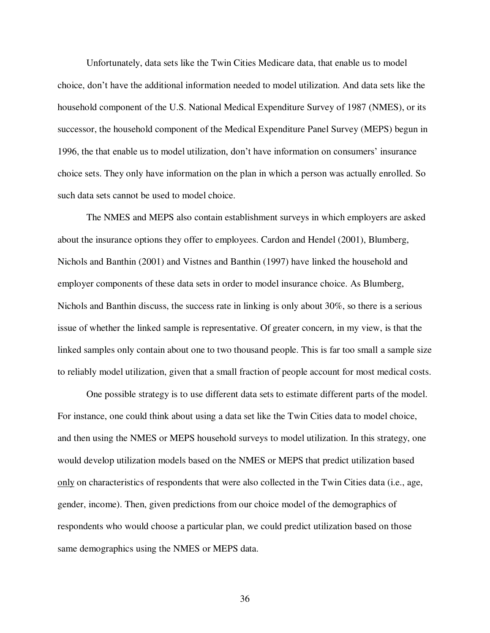Unfortunately, data sets like the Twin Cities Medicare data, that enable us to model choice, don't have the additional information needed to model utilization. And data sets like the household component of the U.S. National Medical Expenditure Survey of 1987 (NMES), or its successor, the household component of the Medical Expenditure Panel Survey (MEPS) begun in 1996, the that enable us to model utilization, don't have information on consumers' insurance choice sets. They only have information on the plan in which a person was actually enrolled. So such data sets cannot be used to model choice.

The NMES and MEPS also contain establishment surveys in which employers are asked about the insurance options they offer to employees. Cardon and Hendel (2001), Blumberg, Nichols and Banthin (2001) and Vistnes and Banthin (1997) have linked the household and employer components of these data sets in order to model insurance choice. As Blumberg, Nichols and Banthin discuss, the success rate in linking is only about 30%, so there is a serious issue of whether the linked sample is representative. Of greater concern, in my view, is that the linked samples only contain about one to two thousand people. This is far too small a sample size to reliably model utilization, given that a small fraction of people account for most medical costs.

One possible strategy is to use different data sets to estimate different parts of the model. For instance, one could think about using a data set like the Twin Cities data to model choice, and then using the NMES or MEPS household surveys to model utilization. In this strategy, one would develop utilization models based on the NMES or MEPS that predict utilization based only on characteristics of respondents that were also collected in the Twin Cities data (i.e., age, gender, income). Then, given predictions from our choice model of the demographics of respondents who would choose a particular plan, we could predict utilization based on those same demographics using the NMES or MEPS data.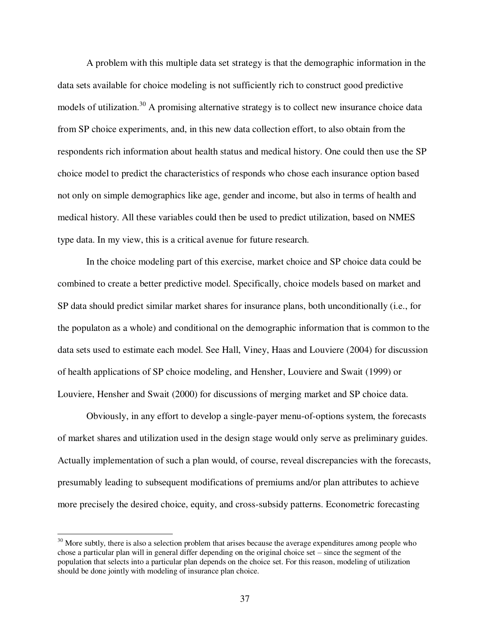A problem with this multiple data set strategy is that the demographic information in the data sets available for choice modeling is not sufficiently rich to construct good predictive models of utilization.<sup>30</sup> A promising alternative strategy is to collect new insurance choice data from SP choice experiments, and, in this new data collection effort, to also obtain from the respondents rich information about health status and medical history. One could then use the SP choice model to predict the characteristics of responds who chose each insurance option based not only on simple demographics like age, gender and income, but also in terms of health and medical history. All these variables could then be used to predict utilization, based on NMES type data. In my view, this is a critical avenue for future research.

In the choice modeling part of this exercise, market choice and SP choice data could be combined to create a better predictive model. Specifically, choice models based on market and SP data should predict similar market shares for insurance plans, both unconditionally (i.e., for the populaton as a whole) and conditional on the demographic information that is common to the data sets used to estimate each model. See Hall, Viney, Haas and Louviere (2004) for discussion of health applications of SP choice modeling, and Hensher, Louviere and Swait (1999) or Louviere, Hensher and Swait (2000) for discussions of merging market and SP choice data.

Obviously, in any effort to develop a single-payer menu-of-options system, the forecasts of market shares and utilization used in the design stage would only serve as preliminary guides. Actually implementation of such a plan would, of course, reveal discrepancies with the forecasts, presumably leading to subsequent modifications of premiums and/or plan attributes to achieve more precisely the desired choice, equity, and cross-subsidy patterns. Econometric forecasting

 $\overline{\phantom{a}}$ 

<sup>&</sup>lt;sup>30</sup> More subtly, there is also a selection problem that arises because the average expenditures among people who chose a particular plan will in general differ depending on the original choice set – since the segment of the population that selects into a particular plan depends on the choice set. For this reason, modeling of utilization should be done jointly with modeling of insurance plan choice.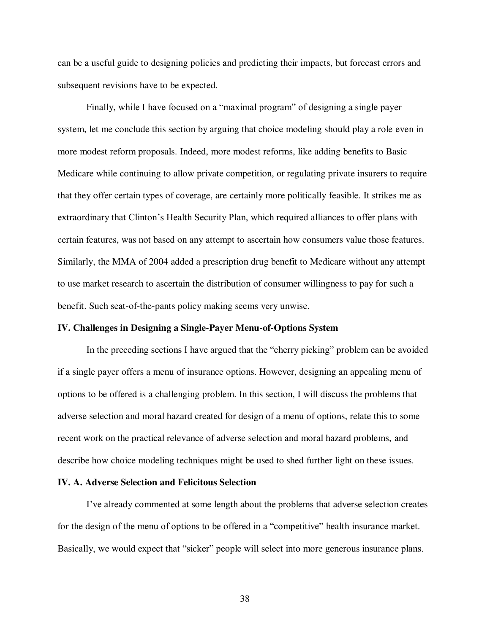can be a useful guide to designing policies and predicting their impacts, but forecast errors and subsequent revisions have to be expected.

Finally, while I have focused on a "maximal program" of designing a single payer system, let me conclude this section by arguing that choice modeling should play a role even in more modest reform proposals. Indeed, more modest reforms, like adding benefits to Basic Medicare while continuing to allow private competition, or regulating private insurers to require that they offer certain types of coverage, are certainly more politically feasible. It strikes me as extraordinary that Clinton's Health Security Plan, which required alliances to offer plans with certain features, was not based on any attempt to ascertain how consumers value those features. Similarly, the MMA of 2004 added a prescription drug benefit to Medicare without any attempt to use market research to ascertain the distribution of consumer willingness to pay for such a benefit. Such seat-of-the-pants policy making seems very unwise.

#### **IV. Challenges in Designing a Single-Payer Menu-of-Options System**

In the preceding sections I have argued that the "cherry picking" problem can be avoided if a single payer offers a menu of insurance options. However, designing an appealing menu of options to be offered is a challenging problem. In this section, I will discuss the problems that adverse selection and moral hazard created for design of a menu of options, relate this to some recent work on the practical relevance of adverse selection and moral hazard problems, and describe how choice modeling techniques might be used to shed further light on these issues.

#### **IV. A. Adverse Selection and Felicitous Selection**

I've already commented at some length about the problems that adverse selection creates for the design of the menu of options to be offered in a "competitive" health insurance market. Basically, we would expect that "sicker" people will select into more generous insurance plans.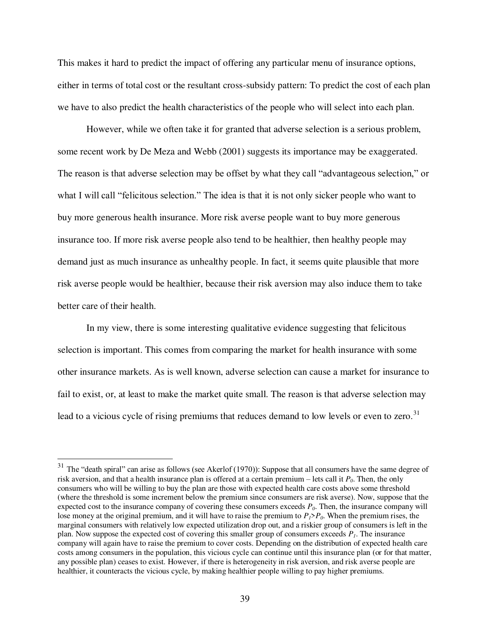This makes it hard to predict the impact of offering any particular menu of insurance options, either in terms of total cost or the resultant cross-subsidy pattern: To predict the cost of each plan we have to also predict the health characteristics of the people who will select into each plan.

However, while we often take it for granted that adverse selection is a serious problem, some recent work by De Meza and Webb (2001) suggests its importance may be exaggerated. The reason is that adverse selection may be offset by what they call "advantageous selection," or what I will call "felicitous selection." The idea is that it is not only sicker people who want to buy more generous health insurance. More risk averse people want to buy more generous insurance too. If more risk averse people also tend to be healthier, then healthy people may demand just as much insurance as unhealthy people. In fact, it seems quite plausible that more risk averse people would be healthier, because their risk aversion may also induce them to take better care of their health.

In my view, there is some interesting qualitative evidence suggesting that felicitous selection is important. This comes from comparing the market for health insurance with some other insurance markets. As is well known, adverse selection can cause a market for insurance to fail to exist, or, at least to make the market quite small. The reason is that adverse selection may lead to a vicious cycle of rising premiums that reduces demand to low levels or even to zero. $31$ 

 $\overline{\phantom{a}}$ 

 $31$  The "death spiral" can arise as follows (see Akerlof (1970)): Suppose that all consumers have the same degree of risk aversion, and that a health insurance plan is offered at a certain premium – lets call it *P0*. Then, the only consumers who will be willing to buy the plan are those with expected health care costs above some threshold (where the threshold is some increment below the premium since consumers are risk averse). Now, suppose that the expected cost to the insurance company of covering these consumers exceeds  $P_0$ . Then, the insurance company will lose money at the original premium, and it will have to raise the premium to  $P_i > P_0$ . When the premium rises, the marginal consumers with relatively low expected utilization drop out, and a riskier group of consumers is left in the plan. Now suppose the expected cost of covering this smaller group of consumers exceeds  $P<sub>1</sub>$ . The insurance company will again have to raise the premium to cover costs. Depending on the distribution of expected health care costs among consumers in the population, this vicious cycle can continue until this insurance plan (or for that matter, any possible plan) ceases to exist. However, if there is heterogeneity in risk aversion, and risk averse people are healthier, it counteracts the vicious cycle, by making healthier people willing to pay higher premiums.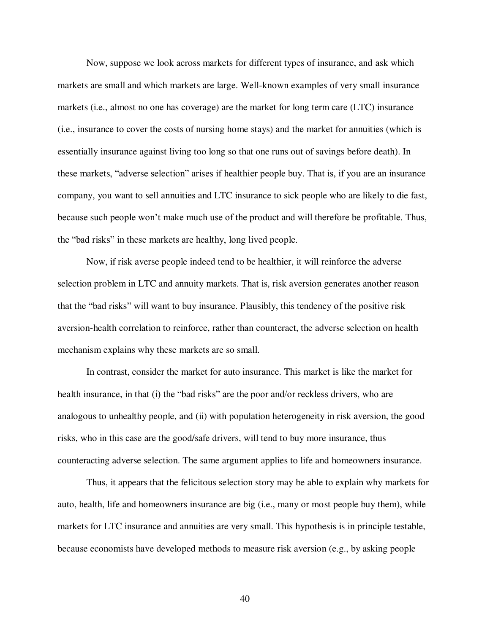Now, suppose we look across markets for different types of insurance, and ask which markets are small and which markets are large. Well-known examples of very small insurance markets (i.e., almost no one has coverage) are the market for long term care (LTC) insurance (i.e., insurance to cover the costs of nursing home stays) and the market for annuities (which is essentially insurance against living too long so that one runs out of savings before death). In these markets, "adverse selection" arises if healthier people buy. That is, if you are an insurance company, you want to sell annuities and LTC insurance to sick people who are likely to die fast, because such people won't make much use of the product and will therefore be profitable. Thus, the "bad risks" in these markets are healthy, long lived people.

Now, if risk averse people indeed tend to be healthier, it will reinforce the adverse selection problem in LTC and annuity markets. That is, risk aversion generates another reason that the "bad risks" will want to buy insurance. Plausibly, this tendency of the positive risk aversion-health correlation to reinforce, rather than counteract, the adverse selection on health mechanism explains why these markets are so small.

In contrast, consider the market for auto insurance. This market is like the market for health insurance, in that (i) the "bad risks" are the poor and/or reckless drivers, who are analogous to unhealthy people, and (ii) with population heterogeneity in risk aversion, the good risks, who in this case are the good/safe drivers, will tend to buy more insurance, thus counteracting adverse selection. The same argument applies to life and homeowners insurance.

Thus, it appears that the felicitous selection story may be able to explain why markets for auto, health, life and homeowners insurance are big (i.e., many or most people buy them), while markets for LTC insurance and annuities are very small. This hypothesis is in principle testable, because economists have developed methods to measure risk aversion (e.g., by asking people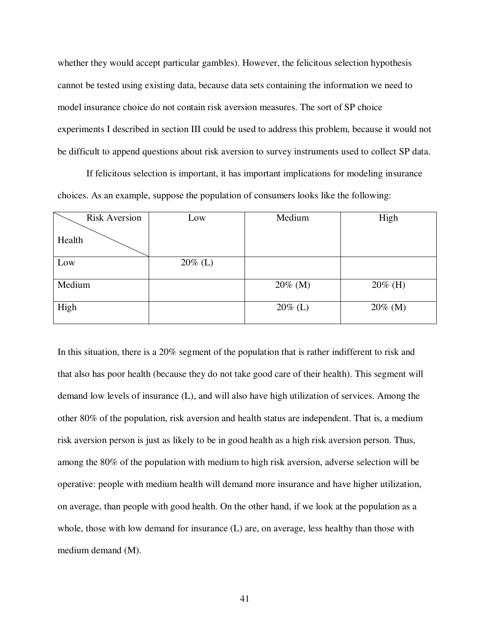whether they would accept particular gambles). However, the felicitous selection hypothesis cannot be tested using existing data, because data sets containing the information we need to model insurance choice do not contain risk aversion measures. The sort of SP choice experiments I described in section III could be used to address this problem, because it would not be difficult to append questions about risk aversion to survey instruments used to collect SP data.

If felicitous selection is important, it has important implications for modeling insurance choices. As an example, suppose the population of consumers looks like the following:

| <b>Risk Aversion</b> | Low        | Medium     | High       |
|----------------------|------------|------------|------------|
| Health               |            |            |            |
| Low                  | $20\%$ (L) |            |            |
|                      |            |            |            |
| Medium               |            | $20\%$ (M) | $20\%$ (H) |
|                      |            |            |            |
| High                 |            | $20\%$ (L) | $20\%$ (M) |
|                      |            |            |            |

In this situation, there is a 20% segment of the population that is rather indifferent to risk and that also has poor health (because they do not take good care of their health). This segment will demand low levels of insurance (L), and will also have high utilization of services. Among the other 80% of the population, risk aversion and health status are independent. That is, a medium risk aversion person is just as likely to be in good health as a high risk aversion person. Thus, among the 80% of the population with medium to high risk aversion, adverse selection will be operative: people with medium health will demand more insurance and have higher utilization, on average, than people with good health. On the other hand, if we look at the population as a whole, those with low demand for insurance (L) are, on average, less healthy than those with medium demand (M).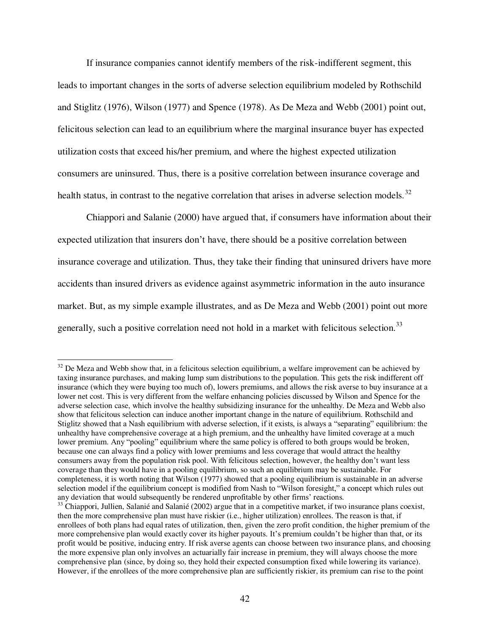If insurance companies cannot identify members of the risk-indifferent segment, this leads to important changes in the sorts of adverse selection equilibrium modeled by Rothschild and Stiglitz (1976), Wilson (1977) and Spence (1978). As De Meza and Webb (2001) point out, felicitous selection can lead to an equilibrium where the marginal insurance buyer has expected utilization costs that exceed his/her premium, and where the highest expected utilization consumers are uninsured. Thus, there is a positive correlation between insurance coverage and health status, in contrast to the negative correlation that arises in adverse selection models.<sup>32</sup>

 Chiappori and Salanie (2000) have argued that, if consumers have information about their expected utilization that insurers don't have, there should be a positive correlation between insurance coverage and utilization. Thus, they take their finding that uninsured drivers have more accidents than insured drivers as evidence against asymmetric information in the auto insurance market. But, as my simple example illustrates, and as De Meza and Webb (2001) point out more generally, such a positive correlation need not hold in a market with felicitous selection.<sup>33</sup>

 $32$  De Meza and Webb show that, in a felicitous selection equilibrium, a welfare improvement can be achieved by taxing insurance purchases, and making lump sum distributions to the population. This gets the risk indifferent off insurance (which they were buying too much of), lowers premiums, and allows the risk averse to buy insurance at a lower net cost. This is very different from the welfare enhancing policies discussed by Wilson and Spence for the adverse selection case, which involve the healthy subsidizing insurance for the unhealthy. De Meza and Webb also show that felicitous selection can induce another important change in the nature of equilibrium. Rothschild and Stiglitz showed that a Nash equilibrium with adverse selection, if it exists, is always a "separating" equilibrium: the unhealthy have comprehensive coverage at a high premium, and the unhealthy have limited coverage at a much lower premium. Any "pooling" equilibrium where the same policy is offered to both groups would be broken, because one can always find a policy with lower premiums and less coverage that would attract the healthy consumers away from the population risk pool. With felicitous selection, however, the healthy don't want less coverage than they would have in a pooling equilibrium, so such an equilibrium may be sustainable. For completeness, it is worth noting that Wilson (1977) showed that a pooling equilibrium is sustainable in an adverse selection model if the equilibrium concept is modified from Nash to "Wilson foresight," a concept which rules out any deviation that would subsequently be rendered unprofitable by other firms' reactions.

<sup>&</sup>lt;sup>33</sup> Chiappori, Jullien, Salanié and Salanié (2002) argue that in a competitive market, if two insurance plans coexist, then the more comprehensive plan must have riskier (i.e., higher utilization) enrollees. The reason is that, if enrollees of both plans had equal rates of utilization, then, given the zero profit condition, the higher premium of the more comprehensive plan would exactly cover its higher payouts. It's premium couldn't be higher than that, or its profit would be positive, inducing entry. If risk averse agents can choose between two insurance plans, and choosing the more expensive plan only involves an actuarially fair increase in premium, they will always choose the more comprehensive plan (since, by doing so, they hold their expected consumption fixed while lowering its variance). However, if the enrollees of the more comprehensive plan are sufficiently riskier, its premium can rise to the point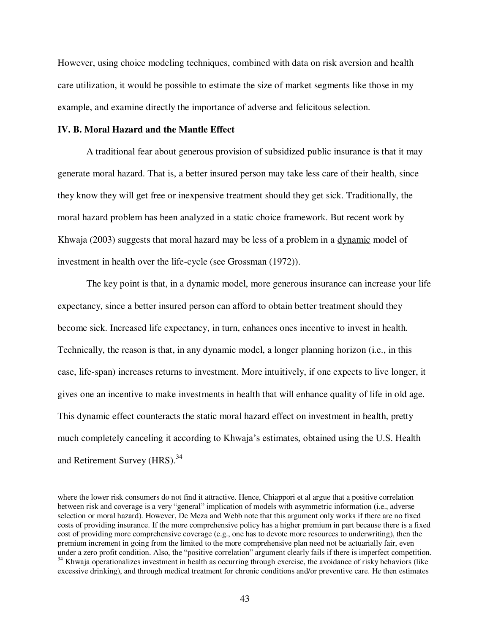However, using choice modeling techniques, combined with data on risk aversion and health care utilization, it would be possible to estimate the size of market segments like those in my example, and examine directly the importance of adverse and felicitous selection.

#### **IV. B. Moral Hazard and the Mantle Effect**

 $\overline{a}$ 

A traditional fear about generous provision of subsidized public insurance is that it may generate moral hazard. That is, a better insured person may take less care of their health, since they know they will get free or inexpensive treatment should they get sick. Traditionally, the moral hazard problem has been analyzed in a static choice framework. But recent work by Khwaja (2003) suggests that moral hazard may be less of a problem in a dynamic model of investment in health over the life-cycle (see Grossman (1972)).

 The key point is that, in a dynamic model, more generous insurance can increase your life expectancy, since a better insured person can afford to obtain better treatment should they become sick. Increased life expectancy, in turn, enhances ones incentive to invest in health. Technically, the reason is that, in any dynamic model, a longer planning horizon (i.e., in this case, life-span) increases returns to investment. More intuitively, if one expects to live longer, it gives one an incentive to make investments in health that will enhance quality of life in old age. This dynamic effect counteracts the static moral hazard effect on investment in health, pretty much completely canceling it according to Khwaja's estimates, obtained using the U.S. Health and Retirement Survey (HRS).<sup>34</sup>

where the lower risk consumers do not find it attractive. Hence, Chiappori et al argue that a positive correlation between risk and coverage is a very "general" implication of models with asymmetric information (i.e., adverse selection or moral hazard). However, De Meza and Webb note that this argument only works if there are no fixed costs of providing insurance. If the more comprehensive policy has a higher premium in part because there is a fixed cost of providing more comprehensive coverage (e.g., one has to devote more resources to underwriting), then the premium increment in going from the limited to the more comprehensive plan need not be actuarially fair, even under a zero profit condition. Also, the "positive correlation" argument clearly fails if there is imperfect competition. <sup>34</sup> Khwaja operationalizes investment in health as occurring through exercise, the avoidance of risky behaviors (like excessive drinking), and through medical treatment for chronic conditions and/or preventive care. He then estimates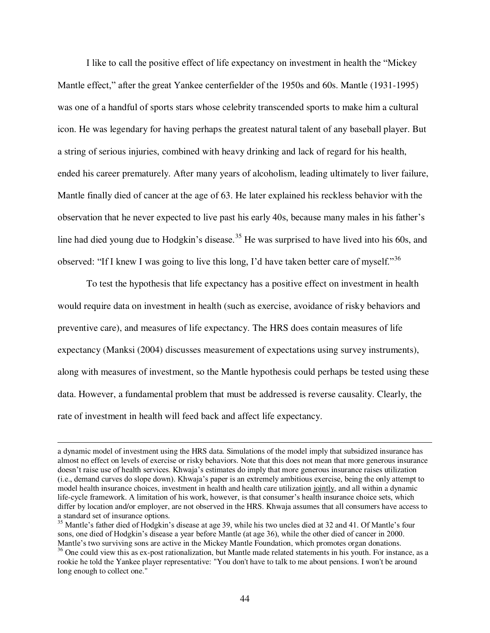I like to call the positive effect of life expectancy on investment in health the "Mickey Mantle effect," after the great Yankee centerfielder of the 1950s and 60s. Mantle (1931-1995) was one of a handful of sports stars whose celebrity transcended sports to make him a cultural icon. He was legendary for having perhaps the greatest natural talent of any baseball player. But a string of serious injuries, combined with heavy drinking and lack of regard for his health, ended his career prematurely. After many years of alcoholism, leading ultimately to liver failure, Mantle finally died of cancer at the age of 63. He later explained his reckless behavior with the observation that he never expected to live past his early 40s, because many males in his father's line had died young due to Hodgkin's disease.<sup>35</sup> He was surprised to have lived into his 60s, and observed: "If I knew I was going to live this long, I'd have taken better care of myself."<sup>36</sup>

To test the hypothesis that life expectancy has a positive effect on investment in health would require data on investment in health (such as exercise, avoidance of risky behaviors and preventive care), and measures of life expectancy. The HRS does contain measures of life expectancy (Manksi (2004) discusses measurement of expectations using survey instruments), along with measures of investment, so the Mantle hypothesis could perhaps be tested using these data. However, a fundamental problem that must be addressed is reverse causality. Clearly, the rate of investment in health will feed back and affect life expectancy.

a dynamic model of investment using the HRS data. Simulations of the model imply that subsidized insurance has almost no effect on levels of exercise or risky behaviors. Note that this does not mean that more generous insurance doesn't raise use of health services. Khwaja's estimates do imply that more generous insurance raises utilization (i.e., demand curves do slope down). Khwaja's paper is an extremely ambitious exercise, being the only attempt to model health insurance choices, investment in health and health care utilization jointly, and all within a dynamic life-cycle framework. A limitation of his work, however, is that consumer's health insurance choice sets, which differ by location and/or employer, are not observed in the HRS. Khwaja assumes that all consumers have access to a standard set of insurance options.

<sup>&</sup>lt;sup>35</sup> Mantle's father died of Hodgkin's disease at age 39, while his two uncles died at 32 and 41. Of Mantle's four sons, one died of Hodgkin's disease a year before Mantle (at age 36), while the other died of cancer in 2000. Mantle's two surviving sons are active in the Mickey Mantle Foundation, which promotes organ donations.

 $36$  One could view this as ex-post rationalization, but Mantle made related statements in his youth. For instance, as a rookie he told the Yankee player representative: "You don't have to talk to me about pensions. I won't be around long enough to collect one."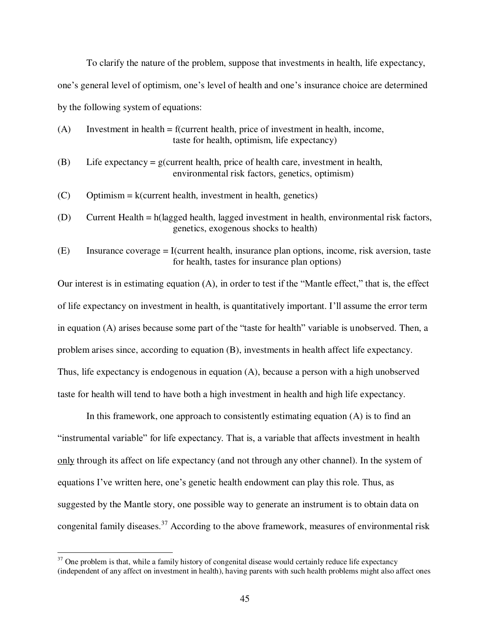|     | To clarify the nature of the problem, suppose that investments in health, life expectancy,                                                      |
|-----|-------------------------------------------------------------------------------------------------------------------------------------------------|
|     | one's general level of optimism, one's level of health and one's insurance choice are determined                                                |
|     | by the following system of equations:                                                                                                           |
| (A) | Investment in health $=$ f(current health, price of investment in health, income,<br>taste for health, optimism, life expectancy)               |
| (B) | Life expectancy = $g$ (current health, price of health care, investment in health,<br>environmental risk factors, genetics, optimism)           |
| (C) | $Optimism = k(current health, investment in health, genetics)$                                                                                  |
| (D) | Current Health = h(lagged health, lagged investment in health, environmental risk factors,<br>genetics, exogenous shocks to health)             |
| (E) | Insurance coverage $=$ I(current health, insurance plan options, income, risk aversion, taste<br>for health, tastes for insurance plan options) |
|     | Our interest is in estimating equation (A), in order to test if the "Mantle effect," that is, the effect                                        |
|     |                                                                                                                                                 |

To clarify the nature of the problem, suppose that investments in  $\mathcal{L}$  in the problem, life expectancy, life expectancy, life expectancy, life expectancy, life expectancy, life expectancy, life expectancy, life expect

of life expectancy on investment in health, is quantitatively important. I'll assume the error term in equation (A) arises because some part of the "taste for health" variable is unobserved. Then, a problem arises since, according to equation (B), investments in health affect life expectancy. Thus, life expectancy is endogenous in equation (A), because a person with a high unobserved taste for health will tend to have both a high investment in health and high life expectancy.

In this framework, one approach to consistently estimating equation (A) is to find an "instrumental variable" for life expectancy. That is, a variable that affects investment in health only through its affect on life expectancy (and not through any other channel). In the system of equations I've written here, one's genetic health endowment can play this role. Thus, as suggested by the Mantle story, one possible way to generate an instrument is to obtain data on congenital family diseases.<sup>37</sup> According to the above framework, measures of environmental risk

 $37$  One problem is that, while a family history of congenital disease would certainly reduce life expectancy (independent of any affect on investment in health), having parents with such health problems might also affect ones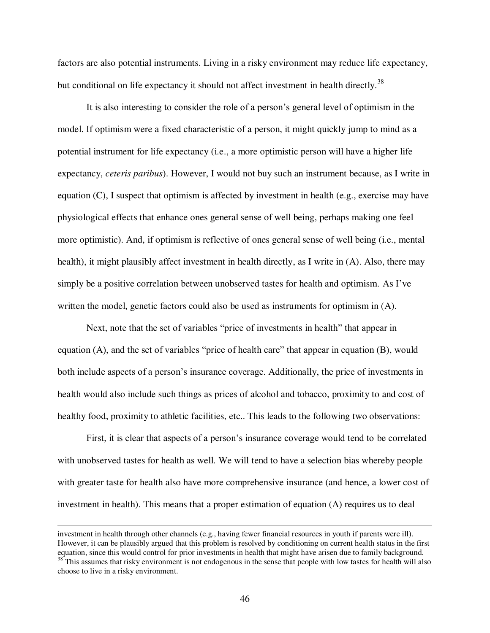factors are also potential instruments. Living in a risky environment may reduce life expectancy, but conditional on life expectancy it should not affect investment in health directly.<sup>38</sup>

It is also interesting to consider the role of a person's general level of optimism in the model. If optimism were a fixed characteristic of a person, it might quickly jump to mind as a potential instrument for life expectancy (i.e., a more optimistic person will have a higher life expectancy, *ceteris paribus*). However, I would not buy such an instrument because, as I write in equation (C), I suspect that optimism is affected by investment in health (e.g., exercise may have physiological effects that enhance ones general sense of well being, perhaps making one feel more optimistic). And, if optimism is reflective of ones general sense of well being (i.e., mental health), it might plausibly affect investment in health directly, as I write in (A). Also, there may simply be a positive correlation between unobserved tastes for health and optimism. As I've written the model, genetic factors could also be used as instruments for optimism in (A).

Next, note that the set of variables "price of investments in health" that appear in equation (A), and the set of variables "price of health care" that appear in equation (B), would both include aspects of a person's insurance coverage. Additionally, the price of investments in health would also include such things as prices of alcohol and tobacco, proximity to and cost of healthy food, proximity to athletic facilities, etc.. This leads to the following two observations:

First, it is clear that aspects of a person's insurance coverage would tend to be correlated with unobserved tastes for health as well. We will tend to have a selection bias whereby people with greater taste for health also have more comprehensive insurance (and hence, a lower cost of investment in health). This means that a proper estimation of equation (A) requires us to deal

investment in health through other channels (e.g., having fewer financial resources in youth if parents were ill). However, it can be plausibly argued that this problem is resolved by conditioning on current health status in the first equation, since this would control for prior investments in health that might have arisen due to family background.  $38$ <sup>38</sup> This assumes that risky environment is not endogenous in the sense that people with low tastes for health will also choose to live in a risky environment.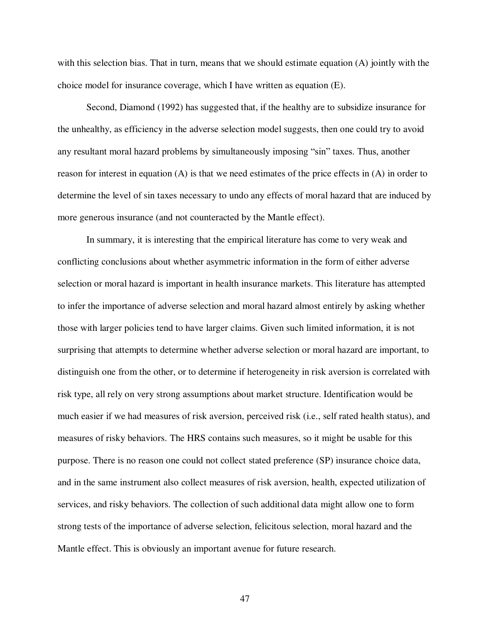with this selection bias. That in turn, means that we should estimate equation (A) jointly with the choice model for insurance coverage, which I have written as equation (E).

Second, Diamond (1992) has suggested that, if the healthy are to subsidize insurance for the unhealthy, as efficiency in the adverse selection model suggests, then one could try to avoid any resultant moral hazard problems by simultaneously imposing "sin" taxes. Thus, another reason for interest in equation (A) is that we need estimates of the price effects in (A) in order to determine the level of sin taxes necessary to undo any effects of moral hazard that are induced by more generous insurance (and not counteracted by the Mantle effect).

In summary, it is interesting that the empirical literature has come to very weak and conflicting conclusions about whether asymmetric information in the form of either adverse selection or moral hazard is important in health insurance markets. This literature has attempted to infer the importance of adverse selection and moral hazard almost entirely by asking whether those with larger policies tend to have larger claims. Given such limited information, it is not surprising that attempts to determine whether adverse selection or moral hazard are important, to distinguish one from the other, or to determine if heterogeneity in risk aversion is correlated with risk type, all rely on very strong assumptions about market structure. Identification would be much easier if we had measures of risk aversion, perceived risk (i.e., self rated health status), and measures of risky behaviors. The HRS contains such measures, so it might be usable for this purpose. There is no reason one could not collect stated preference (SP) insurance choice data, and in the same instrument also collect measures of risk aversion, health, expected utilization of services, and risky behaviors. The collection of such additional data might allow one to form strong tests of the importance of adverse selection, felicitous selection, moral hazard and the Mantle effect. This is obviously an important avenue for future research.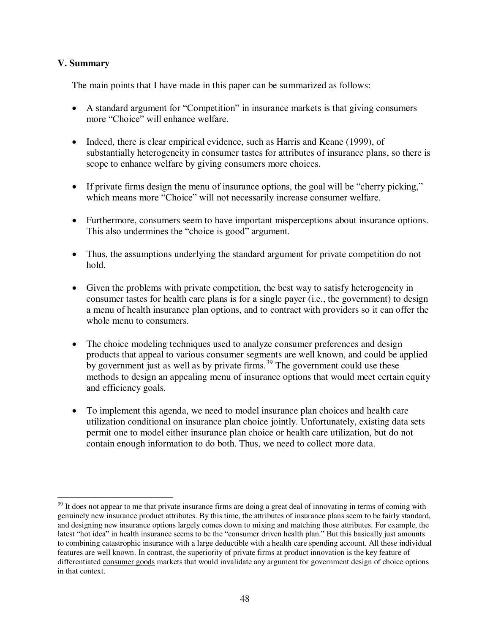## **V. Summary**

 $\overline{a}$ 

The main points that I have made in this paper can be summarized as follows:

- A standard argument for "Competition" in insurance markets is that giving consumers more "Choice" will enhance welfare.
- Indeed, there is clear empirical evidence, such as Harris and Keane (1999), of substantially heterogeneity in consumer tastes for attributes of insurance plans, so there is scope to enhance welfare by giving consumers more choices.
- If private firms design the menu of insurance options, the goal will be "cherry picking," which means more "Choice" will not necessarily increase consumer welfare.
- Furthermore, consumers seem to have important misperceptions about insurance options. This also undermines the "choice is good" argument.
- Thus, the assumptions underlying the standard argument for private competition do not hold.
- Given the problems with private competition, the best way to satisfy heterogeneity in consumer tastes for health care plans is for a single payer (i.e., the government) to design a menu of health insurance plan options, and to contract with providers so it can offer the whole menu to consumers.
- The choice modeling techniques used to analyze consumer preferences and design products that appeal to various consumer segments are well known, and could be applied by government just as well as by private firms.<sup>39</sup> The government could use these methods to design an appealing menu of insurance options that would meet certain equity and efficiency goals.
- To implement this agenda, we need to model insurance plan choices and health care utilization conditional on insurance plan choice jointly. Unfortunately, existing data sets permit one to model either insurance plan choice or health care utilization, but do not contain enough information to do both. Thus, we need to collect more data.

 $39$  It does not appear to me that private insurance firms are doing a great deal of innovating in terms of coming with genuinely new insurance product attributes. By this time, the attributes of insurance plans seem to be fairly standard, and designing new insurance options largely comes down to mixing and matching those attributes. For example, the latest "hot idea" in health insurance seems to be the "consumer driven health plan." But this basically just amounts to combining catastrophic insurance with a large deductible with a health care spending account. All these individual features are well known. In contrast, the superiority of private firms at product innovation is the key feature of differentiated consumer goods markets that would invalidate any argument for government design of choice options in that context.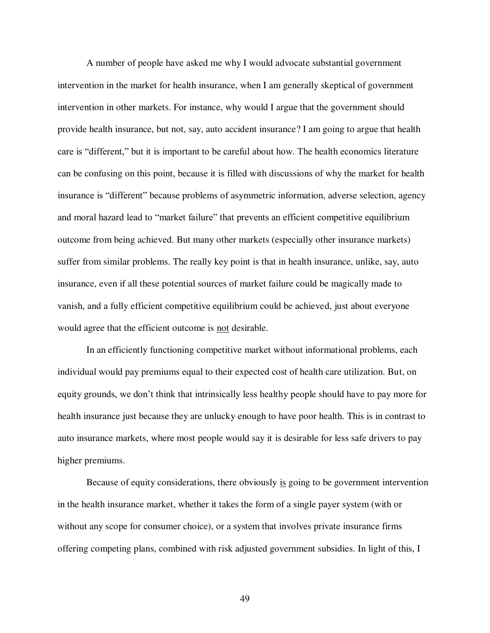A number of people have asked me why I would advocate substantial government intervention in the market for health insurance, when I am generally skeptical of government intervention in other markets. For instance, why would I argue that the government should provide health insurance, but not, say, auto accident insurance? I am going to argue that health care is "different," but it is important to be careful about how. The health economics literature can be confusing on this point, because it is filled with discussions of why the market for health insurance is "different" because problems of asymmetric information, adverse selection, agency and moral hazard lead to "market failure" that prevents an efficient competitive equilibrium outcome from being achieved. But many other markets (especially other insurance markets) suffer from similar problems. The really key point is that in health insurance, unlike, say, auto insurance, even if all these potential sources of market failure could be magically made to vanish, and a fully efficient competitive equilibrium could be achieved, just about everyone would agree that the efficient outcome is not desirable.

In an efficiently functioning competitive market without informational problems, each individual would pay premiums equal to their expected cost of health care utilization. But, on equity grounds, we don't think that intrinsically less healthy people should have to pay more for health insurance just because they are unlucky enough to have poor health. This is in contrast to auto insurance markets, where most people would say it is desirable for less safe drivers to pay higher premiums.

Because of equity considerations, there obviously is going to be government intervention in the health insurance market, whether it takes the form of a single payer system (with or without any scope for consumer choice), or a system that involves private insurance firms offering competing plans, combined with risk adjusted government subsidies. In light of this, I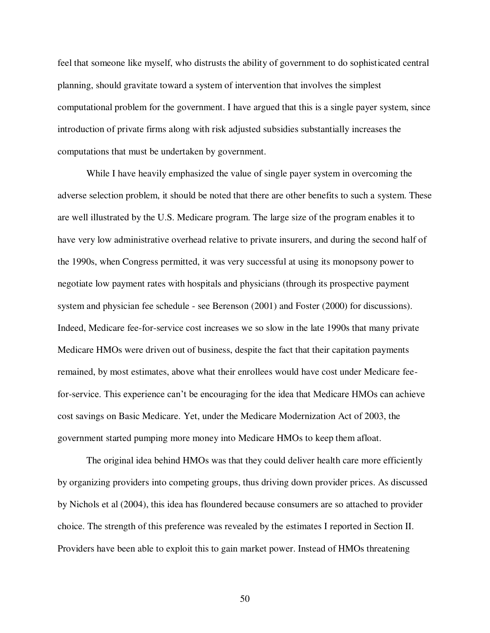feel that someone like myself, who distrusts the ability of government to do sophisticated central planning, should gravitate toward a system of intervention that involves the simplest computational problem for the government. I have argued that this is a single payer system, since introduction of private firms along with risk adjusted subsidies substantially increases the computations that must be undertaken by government.

While I have heavily emphasized the value of single payer system in overcoming the adverse selection problem, it should be noted that there are other benefits to such a system. These are well illustrated by the U.S. Medicare program. The large size of the program enables it to have very low administrative overhead relative to private insurers, and during the second half of the 1990s, when Congress permitted, it was very successful at using its monopsony power to negotiate low payment rates with hospitals and physicians (through its prospective payment system and physician fee schedule - see Berenson (2001) and Foster (2000) for discussions). Indeed, Medicare fee-for-service cost increases we so slow in the late 1990s that many private Medicare HMOs were driven out of business, despite the fact that their capitation payments remained, by most estimates, above what their enrollees would have cost under Medicare feefor-service. This experience can't be encouraging for the idea that Medicare HMOs can achieve cost savings on Basic Medicare. Yet, under the Medicare Modernization Act of 2003, the government started pumping more money into Medicare HMOs to keep them afloat.

The original idea behind HMOs was that they could deliver health care more efficiently by organizing providers into competing groups, thus driving down provider prices. As discussed by Nichols et al (2004), this idea has floundered because consumers are so attached to provider choice. The strength of this preference was revealed by the estimates I reported in Section II. Providers have been able to exploit this to gain market power. Instead of HMOs threatening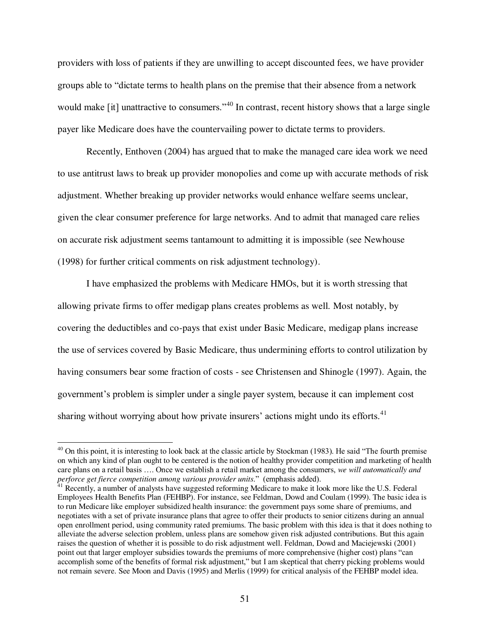providers with loss of patients if they are unwilling to accept discounted fees, we have provider groups able to "dictate terms to health plans on the premise that their absence from a network would make [it] unattractive to consumers."<sup>40</sup> In contrast, recent history shows that a large single payer like Medicare does have the countervailing power to dictate terms to providers.

Recently, Enthoven (2004) has argued that to make the managed care idea work we need to use antitrust laws to break up provider monopolies and come up with accurate methods of risk adjustment. Whether breaking up provider networks would enhance welfare seems unclear, given the clear consumer preference for large networks. And to admit that managed care relies on accurate risk adjustment seems tantamount to admitting it is impossible (see Newhouse (1998) for further critical comments on risk adjustment technology).

I have emphasized the problems with Medicare HMOs, but it is worth stressing that allowing private firms to offer medigap plans creates problems as well. Most notably, by covering the deductibles and co-pays that exist under Basic Medicare, medigap plans increase the use of services covered by Basic Medicare, thus undermining efforts to control utilization by having consumers bear some fraction of costs - see Christensen and Shinogle (1997). Again, the government's problem is simpler under a single payer system, because it can implement cost sharing without worrying about how private insurers' actions might undo its efforts.<sup>41</sup>

<sup>&</sup>lt;sup>40</sup> On this point, it is interesting to look back at the classic article by Stockman (1983). He said "The fourth premise on which any kind of plan ought to be centered is the notion of healthy provider competition and marketing of health care plans on a retail basis …. Once we establish a retail market among the consumers, *we will automatically and perforce get fierce competition among various provider units*." (emphasis added).

 $41$  Recently, a number of analysts have suggested reforming Medicare to make it look more like the U.S. Federal Employees Health Benefits Plan (FEHBP). For instance, see Feldman, Dowd and Coulam (1999). The basic idea is to run Medicare like employer subsidized health insurance: the government pays some share of premiums, and negotiates with a set of private insurance plans that agree to offer their products to senior citizens during an annual open enrollment period, using community rated premiums. The basic problem with this idea is that it does nothing to alleviate the adverse selection problem, unless plans are somehow given risk adjusted contributions. But this again raises the question of whether it is possible to do risk adjustment well. Feldman, Dowd and Maciejewski (2001) point out that larger employer subsidies towards the premiums of more comprehensive (higher cost) plans "can accomplish some of the benefits of formal risk adjustment," but I am skeptical that cherry picking problems would not remain severe. See Moon and Davis (1995) and Merlis (1999) for critical analysis of the FEHBP model idea.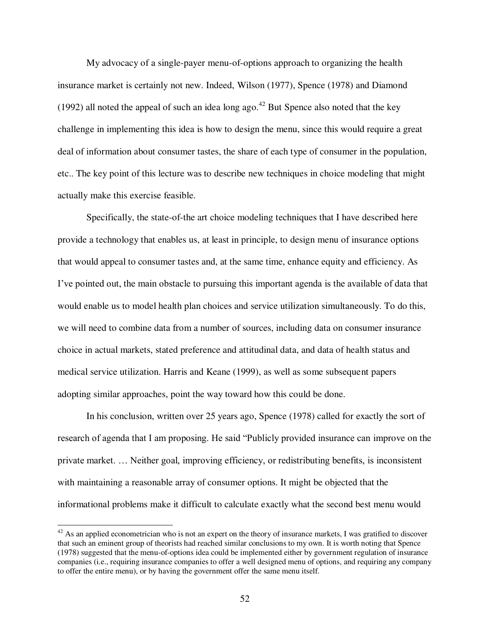My advocacy of a single-payer menu-of-options approach to organizing the health insurance market is certainly not new. Indeed, Wilson (1977), Spence (1978) and Diamond (1992) all noted the appeal of such an idea long ago.<sup>42</sup> But Spence also noted that the key challenge in implementing this idea is how to design the menu, since this would require a great deal of information about consumer tastes, the share of each type of consumer in the population, etc.. The key point of this lecture was to describe new techniques in choice modeling that might actually make this exercise feasible.

Specifically, the state-of-the art choice modeling techniques that I have described here provide a technology that enables us, at least in principle, to design menu of insurance options that would appeal to consumer tastes and, at the same time, enhance equity and efficiency. As I've pointed out, the main obstacle to pursuing this important agenda is the available of data that would enable us to model health plan choices and service utilization simultaneously. To do this, we will need to combine data from a number of sources, including data on consumer insurance choice in actual markets, stated preference and attitudinal data, and data of health status and medical service utilization. Harris and Keane (1999), as well as some subsequent papers adopting similar approaches, point the way toward how this could be done.

In his conclusion, written over 25 years ago, Spence (1978) called for exactly the sort of research of agenda that I am proposing. He said "Publicly provided insurance can improve on the private market. … Neither goal, improving efficiency, or redistributing benefits, is inconsistent with maintaining a reasonable array of consumer options. It might be objected that the informational problems make it difficult to calculate exactly what the second best menu would

 $\overline{\phantom{a}}$ 

 $42$  As an applied econometrician who is not an expert on the theory of insurance markets, I was gratified to discover that such an eminent group of theorists had reached similar conclusions to my own. It is worth noting that Spence (1978) suggested that the menu-of-options idea could be implemented either by government regulation of insurance companies (i.e., requiring insurance companies to offer a well designed menu of options, and requiring any company to offer the entire menu), or by having the government offer the same menu itself.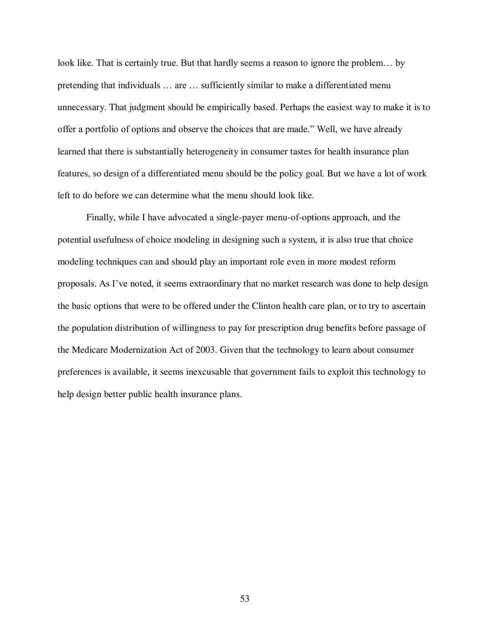look like. That is certainly true. But that hardly seems a reason to ignore the problem… by pretending that individuals … are … sufficiently similar to make a differentiated menu unnecessary. That judgment should be empirically based. Perhaps the easiest way to make it is to offer a portfolio of options and observe the choices that are made." Well, we have already learned that there is substantially heterogeneity in consumer tastes for health insurance plan features, so design of a differentiated menu should be the policy goal. But we have a lot of work left to do before we can determine what the menu should look like.

Finally, while I have advocated a single-payer menu-of-options approach, and the potential usefulness of choice modeling in designing such a system, it is also true that choice modeling techniques can and should play an important role even in more modest reform proposals. As I've noted, it seems extraordinary that no market research was done to help design the basic options that were to be offered under the Clinton health care plan, or to try to ascertain the population distribution of willingness to pay for prescription drug benefits before passage of the Medicare Modernization Act of 2003. Given that the technology to learn about consumer preferences is available, it seems inexcusable that government fails to exploit this technology to help design better public health insurance plans.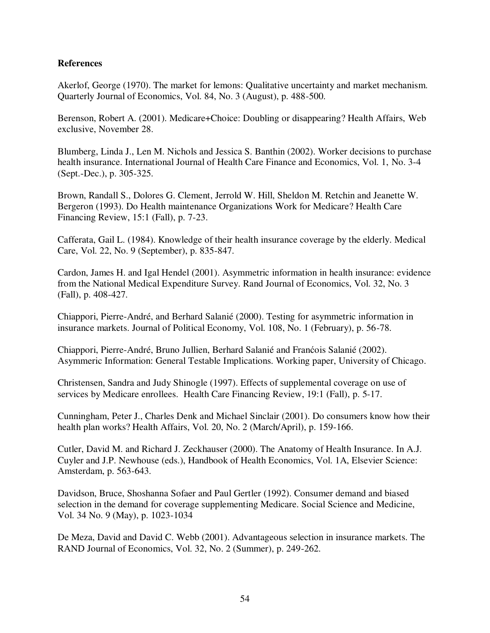## **References**

Akerlof, George (1970). The market for lemons: Qualitative uncertainty and market mechanism. Quarterly Journal of Economics, Vol. 84, No. 3 (August), p. 488-500.

Berenson, Robert A. (2001). Medicare+Choice: Doubling or disappearing? Health Affairs, Web exclusive, November 28.

Blumberg, Linda J., Len M. Nichols and Jessica S. Banthin (2002). Worker decisions to purchase health insurance. International Journal of Health Care Finance and Economics, Vol. 1, No. 3-4 (Sept.-Dec.), p. 305-325.

Brown, Randall S., Dolores G. Clement, Jerrold W. Hill, Sheldon M. Retchin and Jeanette W. Bergeron (1993). Do Health maintenance Organizations Work for Medicare? Health Care Financing Review, 15:1 (Fall), p. 7-23.

Cafferata, Gail L. (1984). Knowledge of their health insurance coverage by the elderly. Medical Care, Vol. 22, No. 9 (September), p. 835-847.

Cardon, James H. and Igal Hendel (2001). Asymmetric information in health insurance: evidence from the National Medical Expenditure Survey. Rand Journal of Economics, Vol. 32, No. 3 (Fall), p. 408-427.

Chiappori, Pierre-André, and Berhard Salanié (2000). Testing for asymmetric information in insurance markets. Journal of Political Economy, Vol. 108, No. 1 (February), p. 56-78.

Chiappori, Pierre-André, Bruno Jullien, Berhard Salanié and Franćois Salanié (2002). Asymmeric Information: General Testable Implications. Working paper, University of Chicago.

Christensen, Sandra and Judy Shinogle (1997). Effects of supplemental coverage on use of services by Medicare enrollees. Health Care Financing Review, 19:1 (Fall), p. 5-17.

Cunningham, Peter J., Charles Denk and Michael Sinclair (2001). Do consumers know how their health plan works? Health Affairs, Vol. 20, No. 2 (March/April), p. 159-166.

Cutler, David M. and Richard J. Zeckhauser (2000). The Anatomy of Health Insurance. In A.J. Cuyler and J.P. Newhouse (eds.), Handbook of Health Economics, Vol. 1A, Elsevier Science: Amsterdam, p. 563-643.

Davidson, Bruce, Shoshanna Sofaer and Paul Gertler (1992). Consumer demand and biased selection in the demand for coverage supplementing Medicare. Social Science and Medicine, Vol. 34 No. 9 (May), p. 1023-1034

De Meza, David and David C. Webb (2001). Advantageous selection in insurance markets. The RAND Journal of Economics, Vol. 32, No. 2 (Summer), p. 249-262.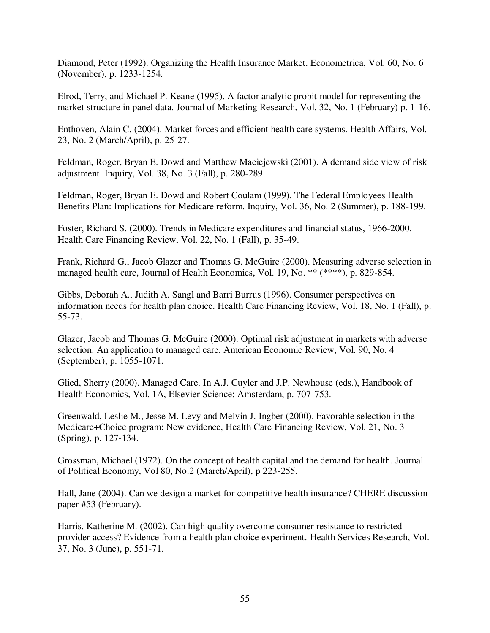Diamond, Peter (1992). Organizing the Health Insurance Market. Econometrica, Vol. 60, No. 6 (November), p. 1233-1254.

Elrod, Terry, and Michael P. Keane (1995). A factor analytic probit model for representing the market structure in panel data. Journal of Marketing Research, Vol. 32, No. 1 (February) p. 1-16.

Enthoven, Alain C. (2004). Market forces and efficient health care systems. Health Affairs, Vol. 23, No. 2 (March/April), p. 25-27.

Feldman, Roger, Bryan E. Dowd and Matthew Maciejewski (2001). A demand side view of risk adjustment. Inquiry, Vol. 38, No. 3 (Fall), p. 280-289.

Feldman, Roger, Bryan E. Dowd and Robert Coulam (1999). The Federal Employees Health Benefits Plan: Implications for Medicare reform. Inquiry, Vol. 36, No. 2 (Summer), p. 188-199.

Foster, Richard S. (2000). Trends in Medicare expenditures and financial status, 1966-2000. Health Care Financing Review, Vol. 22, No. 1 (Fall), p. 35-49.

Frank, Richard G., Jacob Glazer and Thomas G. McGuire (2000). Measuring adverse selection in managed health care, Journal of Health Economics, Vol. 19, No. \*\* (\*\*\*\*), p. 829-854.

Gibbs, Deborah A., Judith A. Sangl and Barri Burrus (1996). Consumer perspectives on information needs for health plan choice. Health Care Financing Review, Vol. 18, No. 1 (Fall), p. 55-73.

Glazer, Jacob and Thomas G. McGuire (2000). Optimal risk adjustment in markets with adverse selection: An application to managed care. American Economic Review, Vol. 90, No. 4 (September), p. 1055-1071.

Glied, Sherry (2000). Managed Care. In A.J. Cuyler and J.P. Newhouse (eds.), Handbook of Health Economics, Vol. 1A, Elsevier Science: Amsterdam, p. 707-753.

Greenwald, Leslie M., Jesse M. Levy and Melvin J. Ingber (2000). Favorable selection in the Medicare+Choice program: New evidence, Health Care Financing Review, Vol. 21, No. 3 (Spring), p. 127-134.

Grossman, Michael (1972). On the concept of health capital and the demand for health. Journal of Political Economy, Vol 80, No.2 (March/April), p 223-255.

Hall, Jane (2004). Can we design a market for competitive health insurance? CHERE discussion paper #53 (February).

Harris, Katherine M. (2002). Can high quality overcome consumer resistance to restricted provider access? Evidence from a health plan choice experiment. Health Services Research, Vol. 37, No. 3 (June), p. 551-71.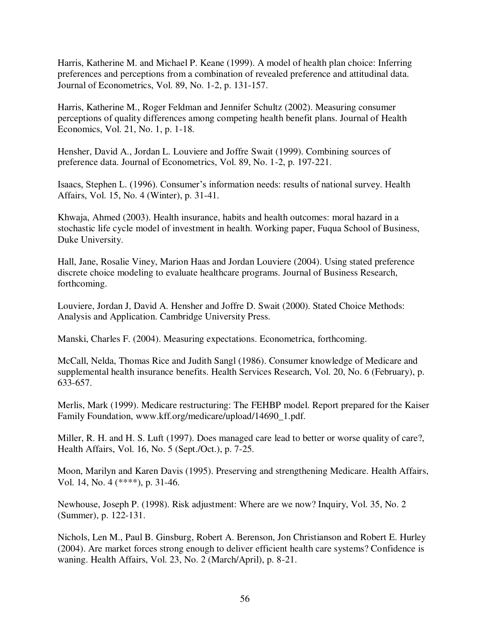Harris, Katherine M. and Michael P. Keane (1999). A model of health plan choice: Inferring preferences and perceptions from a combination of revealed preference and attitudinal data. Journal of Econometrics, Vol. 89, No. 1-2, p. 131-157.

Harris, Katherine M., Roger Feldman and Jennifer Schultz (2002). Measuring consumer perceptions of quality differences among competing health benefit plans. Journal of Health Economics, Vol. 21, No. 1, p. 1-18.

Hensher, David A., Jordan L. Louviere and Joffre Swait (1999). Combining sources of preference data. Journal of Econometrics, Vol. 89, No. 1-2, p. 197-221.

Isaacs, Stephen L. (1996). Consumer's information needs: results of national survey. Health Affairs, Vol. 15, No. 4 (Winter), p. 31-41.

Khwaja, Ahmed (2003). Health insurance, habits and health outcomes: moral hazard in a stochastic life cycle model of investment in health. Working paper, Fuqua School of Business, Duke University.

Hall, Jane, Rosalie Viney, Marion Haas and Jordan Louviere (2004). Using stated preference discrete choice modeling to evaluate healthcare programs. Journal of Business Research, forthcoming.

Louviere, Jordan J, David A. Hensher and Joffre D. Swait (2000). Stated Choice Methods: Analysis and Application. Cambridge University Press.

Manski, Charles F. (2004). Measuring expectations. Econometrica, forthcoming.

McCall, Nelda, Thomas Rice and Judith Sangl (1986). Consumer knowledge of Medicare and supplemental health insurance benefits. Health Services Research, Vol. 20, No. 6 (February), p. 633-657.

Merlis, Mark (1999). Medicare restructuring: The FEHBP model. Report prepared for the Kaiser Family Foundation, www.kff.org/medicare/upload/14690\_1.pdf.

Miller, R. H. and H. S. Luft (1997). Does managed care lead to better or worse quality of care?, Health Affairs, Vol. 16, No. 5 (Sept./Oct.), p. 7-25.

Moon, Marilyn and Karen Davis (1995). Preserving and strengthening Medicare. Health Affairs, Vol. 14, No. 4 (\*\*\*\*), p. 31-46.

Newhouse, Joseph P. (1998). Risk adjustment: Where are we now? Inquiry, Vol. 35, No. 2 (Summer), p. 122-131.

Nichols, Len M., Paul B. Ginsburg, Robert A. Berenson, Jon Christianson and Robert E. Hurley (2004). Are market forces strong enough to deliver efficient health care systems? Confidence is waning. Health Affairs, Vol. 23, No. 2 (March/April), p. 8-21.